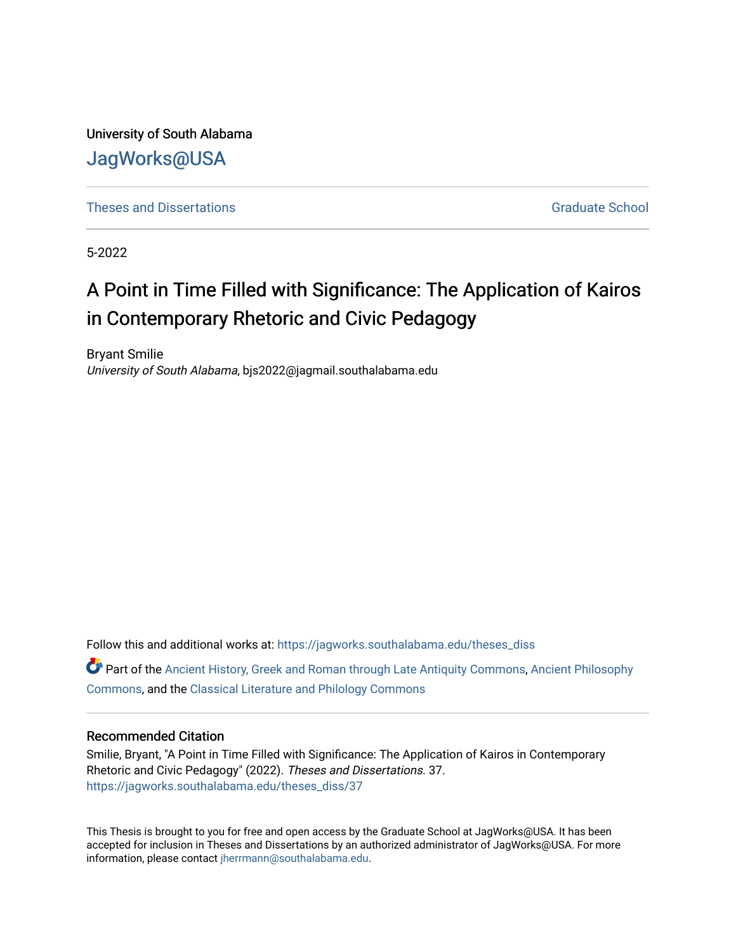University of South Alabama [JagWorks@USA](https://jagworks.southalabama.edu/) 

**[Theses and Dissertations](https://jagworks.southalabama.edu/theses_diss)** [Graduate School](https://jagworks.southalabama.edu/gradschool) Communications Graduate School Communications Graduate School Communications of the Communications of the Communications of the Communications of the Communications of the Communi

5-2022

## A Point in Time Filled with Significance: The Application of Kairos in Contemporary Rhetoric and Civic Pedagogy

Bryant Smilie University of South Alabama, bjs2022@jagmail.southalabama.edu

Follow this and additional works at: [https://jagworks.southalabama.edu/theses\\_diss](https://jagworks.southalabama.edu/theses_diss?utm_source=jagworks.southalabama.edu%2Ftheses_diss%2F37&utm_medium=PDF&utm_campaign=PDFCoverPages) 

Part of the [Ancient History, Greek and Roman through Late Antiquity Commons](https://network.bepress.com/hgg/discipline/447?utm_source=jagworks.southalabama.edu%2Ftheses_diss%2F37&utm_medium=PDF&utm_campaign=PDFCoverPages), [Ancient Philosophy](https://network.bepress.com/hgg/discipline/448?utm_source=jagworks.southalabama.edu%2Ftheses_diss%2F37&utm_medium=PDF&utm_campaign=PDFCoverPages)  [Commons](https://network.bepress.com/hgg/discipline/448?utm_source=jagworks.southalabama.edu%2Ftheses_diss%2F37&utm_medium=PDF&utm_campaign=PDFCoverPages), and the [Classical Literature and Philology Commons](https://network.bepress.com/hgg/discipline/451?utm_source=jagworks.southalabama.edu%2Ftheses_diss%2F37&utm_medium=PDF&utm_campaign=PDFCoverPages)

#### Recommended Citation

Smilie, Bryant, "A Point in Time Filled with Significance: The Application of Kairos in Contemporary Rhetoric and Civic Pedagogy" (2022). Theses and Dissertations. 37. [https://jagworks.southalabama.edu/theses\\_diss/37](https://jagworks.southalabama.edu/theses_diss/37?utm_source=jagworks.southalabama.edu%2Ftheses_diss%2F37&utm_medium=PDF&utm_campaign=PDFCoverPages) 

This Thesis is brought to you for free and open access by the Graduate School at JagWorks@USA. It has been accepted for inclusion in Theses and Dissertations by an authorized administrator of JagWorks@USA. For more information, please contact [jherrmann@southalabama.edu.](mailto:jherrmann@southalabama.edu)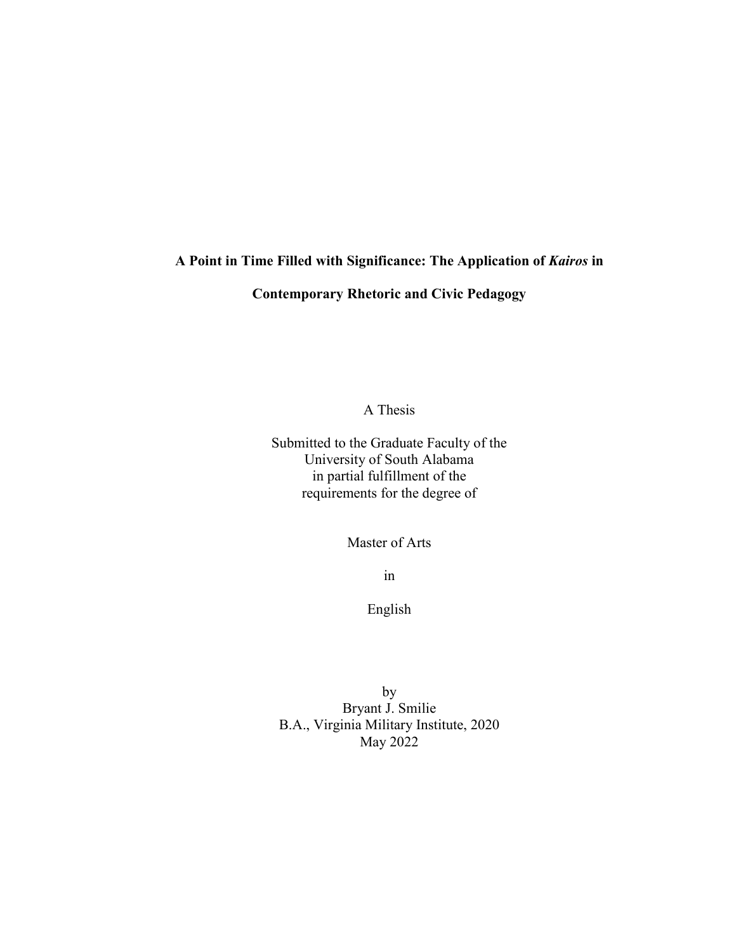## **A Point in Time Filled with Significance: The Application of** *Kairos* **in**

## **Contemporary Rhetoric and Civic Pedagogy**

A Thesis

Submitted to the Graduate Faculty of the University of South Alabama in partial fulfillment of the requirements for the degree of

Master of Arts

in

English

by Bryant J. Smilie B.A., Virginia Military Institute, 2020 May 2022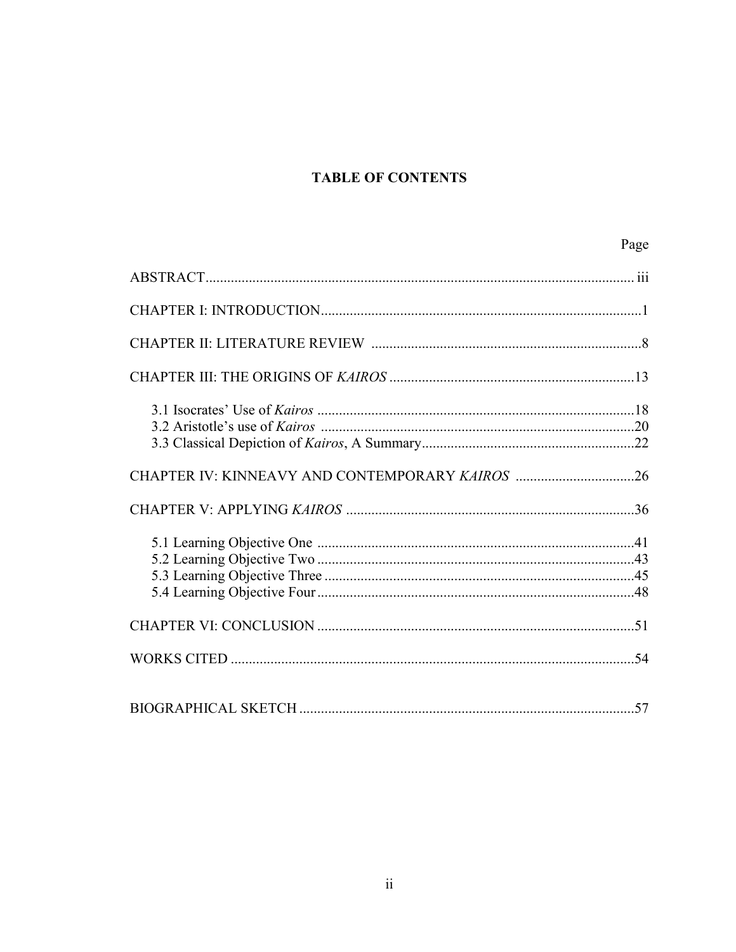## **TABLE OF CONTENTS**

Page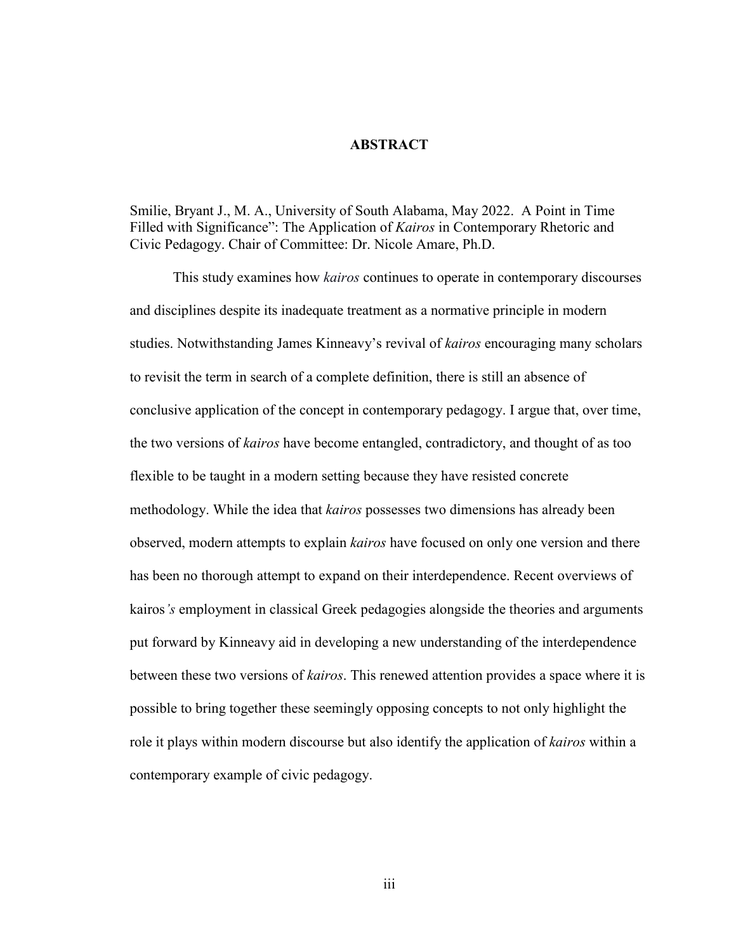#### **ABSTRACT**

Smilie, Bryant J., M. A., University of South Alabama, May 2022. A Point in Time Filled with Significance": The Application of *Kairos* in Contemporary Rhetoric and Civic Pedagogy. Chair of Committee: Dr. Nicole Amare, Ph.D.

This study examines how *kairos* continues to operate in contemporary discourses and disciplines despite its inadequate treatment as a normative principle in modern studies. Notwithstanding James Kinneavy's revival of *kairos* encouraging many scholars to revisit the term in search of a complete definition, there is still an absence of conclusive application of the concept in contemporary pedagogy. I argue that, over time, the two versions of *kairos* have become entangled, contradictory, and thought of as too flexible to be taught in a modern setting because they have resisted concrete methodology. While the idea that *kairos* possesses two dimensions has already been observed, modern attempts to explain *kairos* have focused on only one version and there has been no thorough attempt to expand on their interdependence. Recent overviews of kairos*'s* employment in classical Greek pedagogies alongside the theories and arguments put forward by Kinneavy aid in developing a new understanding of the interdependence between these two versions of *kairos*. This renewed attention provides a space where it is possible to bring together these seemingly opposing concepts to not only highlight the role it plays within modern discourse but also identify the application of *kairos* within a contemporary example of civic pedagogy.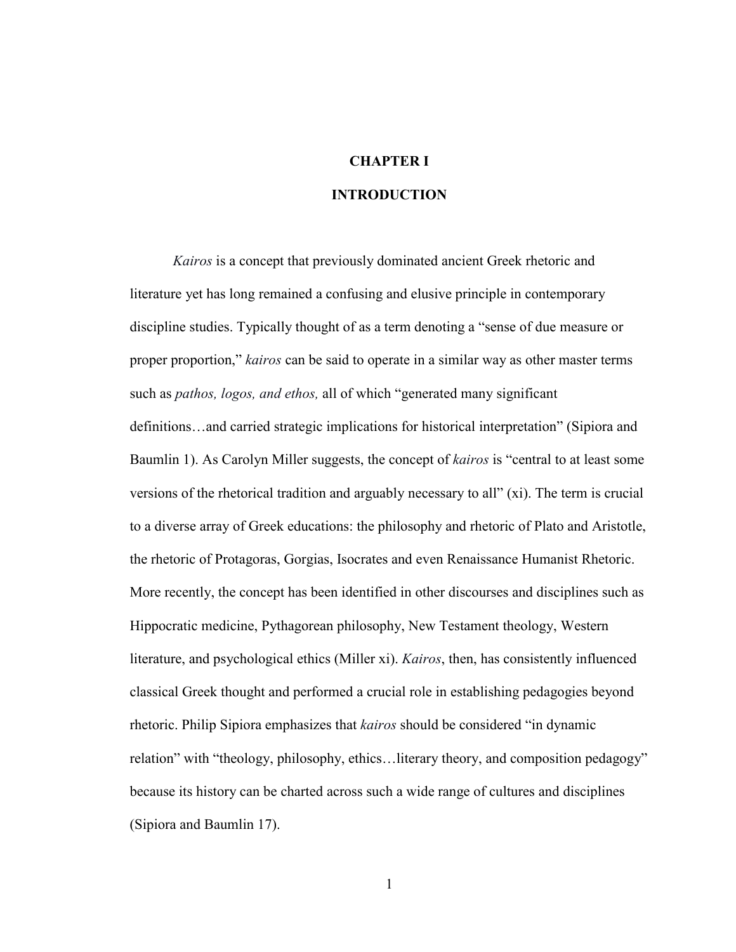## **CHAPTER I**

#### **INTRODUCTION**

*Kairos* is a concept that previously dominated ancient Greek rhetoric and literature yet has long remained a confusing and elusive principle in contemporary discipline studies. Typically thought of as a term denoting a "sense of due measure or proper proportion," *kairos* can be said to operate in a similar way as other master terms such as *pathos, logos, and ethos,* all of which "generated many significant definitions…and carried strategic implications for historical interpretation" (Sipiora and Baumlin 1). As Carolyn Miller suggests, the concept of *kairos* is "central to at least some versions of the rhetorical tradition and arguably necessary to all" (xi). The term is crucial to a diverse array of Greek educations: the philosophy and rhetoric of Plato and Aristotle, the rhetoric of Protagoras, Gorgias, Isocrates and even Renaissance Humanist Rhetoric. More recently, the concept has been identified in other discourses and disciplines such as Hippocratic medicine, Pythagorean philosophy, New Testament theology, Western literature, and psychological ethics (Miller xi). *Kairos*, then, has consistently influenced classical Greek thought and performed a crucial role in establishing pedagogies beyond rhetoric. Philip Sipiora emphasizes that *kairos* should be considered "in dynamic relation" with "theology, philosophy, ethics…literary theory, and composition pedagogy" because its history can be charted across such a wide range of cultures and disciplines (Sipiora and Baumlin 17).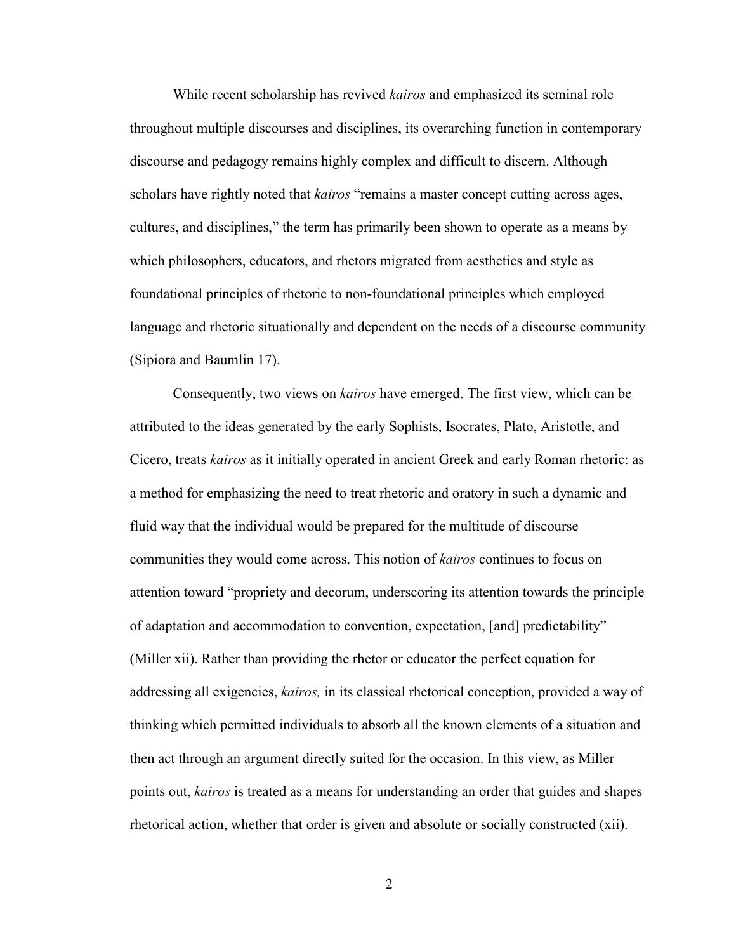While recent scholarship has revived *kairos* and emphasized its seminal role throughout multiple discourses and disciplines, its overarching function in contemporary discourse and pedagogy remains highly complex and difficult to discern. Although scholars have rightly noted that *kairos* "remains a master concept cutting across ages, cultures, and disciplines," the term has primarily been shown to operate as a means by which philosophers, educators, and rhetors migrated from aesthetics and style as foundational principles of rhetoric to non-foundational principles which employed language and rhetoric situationally and dependent on the needs of a discourse community (Sipiora and Baumlin 17).

Consequently, two views on *kairos* have emerged. The first view, which can be attributed to the ideas generated by the early Sophists, Isocrates, Plato, Aristotle, and Cicero, treats *kairos* as it initially operated in ancient Greek and early Roman rhetoric: as a method for emphasizing the need to treat rhetoric and oratory in such a dynamic and fluid way that the individual would be prepared for the multitude of discourse communities they would come across. This notion of *kairos* continues to focus on attention toward "propriety and decorum, underscoring its attention towards the principle of adaptation and accommodation to convention, expectation, [and] predictability" (Miller xii). Rather than providing the rhetor or educator the perfect equation for addressing all exigencies, *kairos,* in its classical rhetorical conception, provided a way of thinking which permitted individuals to absorb all the known elements of a situation and then act through an argument directly suited for the occasion. In this view, as Miller points out, *kairos* is treated as a means for understanding an order that guides and shapes rhetorical action, whether that order is given and absolute or socially constructed (xii).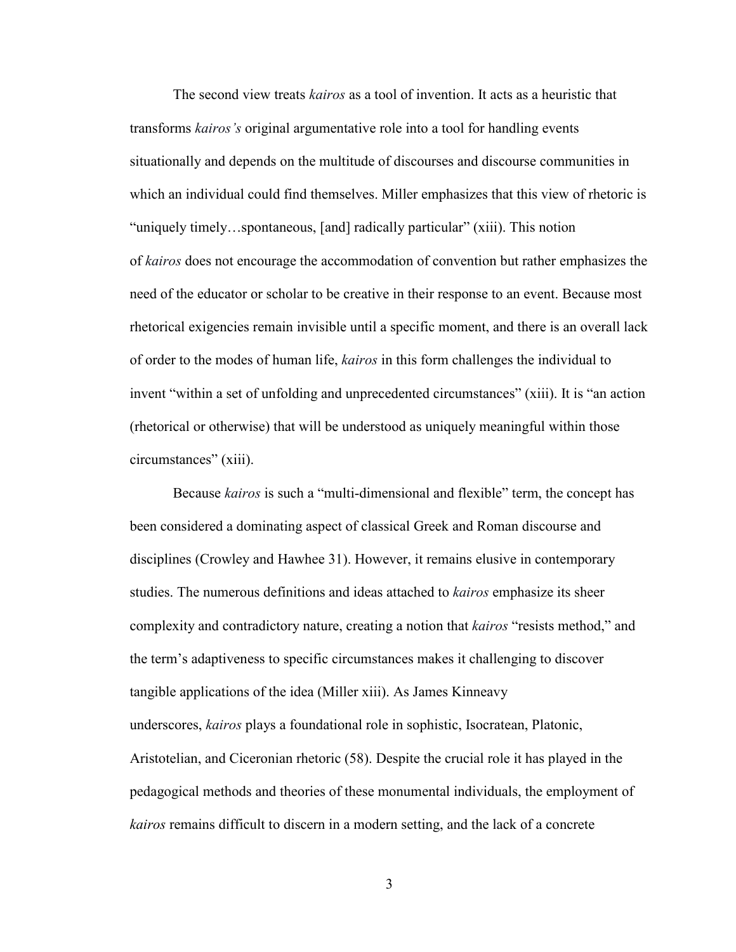The second view treats *kairos* as a tool of invention. It acts as a heuristic that transforms *kairos's* original argumentative role into a tool for handling events situationally and depends on the multitude of discourses and discourse communities in which an individual could find themselves. Miller emphasizes that this view of rhetoric is "uniquely timely…spontaneous, [and] radically particular" (xiii). This notion of *kairos* does not encourage the accommodation of convention but rather emphasizes the need of the educator or scholar to be creative in their response to an event. Because most rhetorical exigencies remain invisible until a specific moment, and there is an overall lack of order to the modes of human life, *kairos* in this form challenges the individual to invent "within a set of unfolding and unprecedented circumstances" (xiii). It is "an action (rhetorical or otherwise) that will be understood as uniquely meaningful within those circumstances" (xiii).

Because *kairos* is such a "multi-dimensional and flexible" term, the concept has been considered a dominating aspect of classical Greek and Roman discourse and disciplines (Crowley and Hawhee 31). However, it remains elusive in contemporary studies. The numerous definitions and ideas attached to *kairos* emphasize its sheer complexity and contradictory nature, creating a notion that *kairos* "resists method," and the term's adaptiveness to specific circumstances makes it challenging to discover tangible applications of the idea (Miller xiii). As James Kinneavy underscores, *kairos* plays a foundational role in sophistic, Isocratean, Platonic, Aristotelian, and Ciceronian rhetoric (58). Despite the crucial role it has played in the pedagogical methods and theories of these monumental individuals, the employment of *kairos* remains difficult to discern in a modern setting, and the lack of a concrete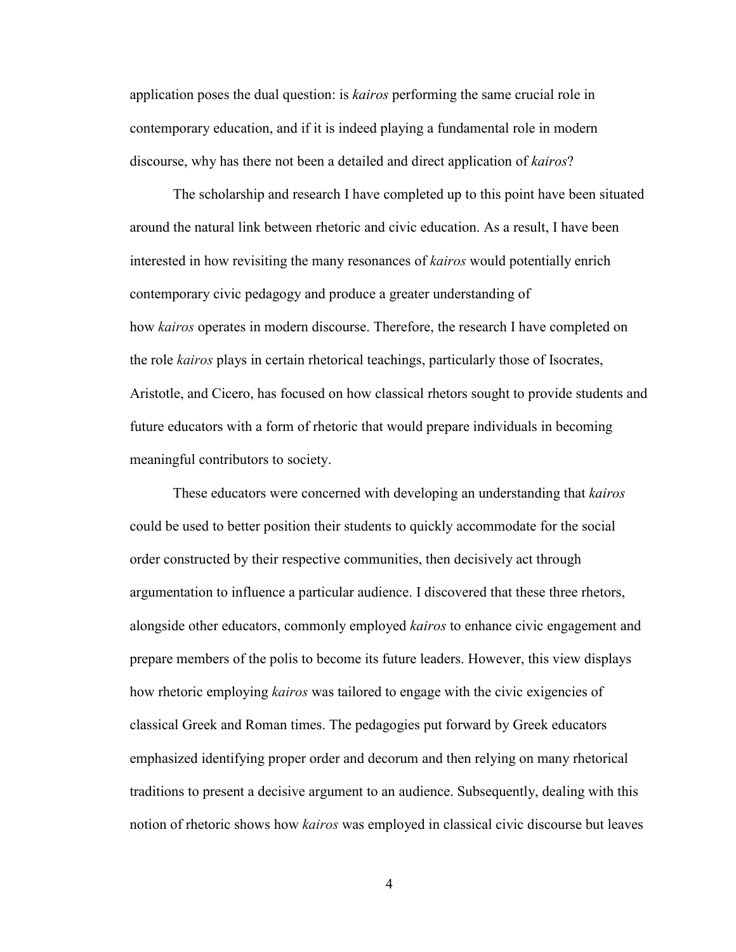application poses the dual question: is *kairos* performing the same crucial role in contemporary education, and if it is indeed playing a fundamental role in modern discourse, why has there not been a detailed and direct application of *kairos*?

The scholarship and research I have completed up to this point have been situated around the natural link between rhetoric and civic education. As a result, I have been interested in how revisiting the many resonances of *kairos* would potentially enrich contemporary civic pedagogy and produce a greater understanding of how *kairos* operates in modern discourse. Therefore, the research I have completed on the role *kairos* plays in certain rhetorical teachings, particularly those of Isocrates, Aristotle, and Cicero, has focused on how classical rhetors sought to provide students and future educators with a form of rhetoric that would prepare individuals in becoming meaningful contributors to society.

These educators were concerned with developing an understanding that *kairos* could be used to better position their students to quickly accommodate for the social order constructed by their respective communities, then decisively act through argumentation to influence a particular audience. I discovered that these three rhetors, alongside other educators, commonly employed *kairos* to enhance civic engagement and prepare members of the polis to become its future leaders. However, this view displays how rhetoric employing *kairos* was tailored to engage with the civic exigencies of classical Greek and Roman times. The pedagogies put forward by Greek educators emphasized identifying proper order and decorum and then relying on many rhetorical traditions to present a decisive argument to an audience. Subsequently, dealing with this notion of rhetoric shows how *kairos* was employed in classical civic discourse but leaves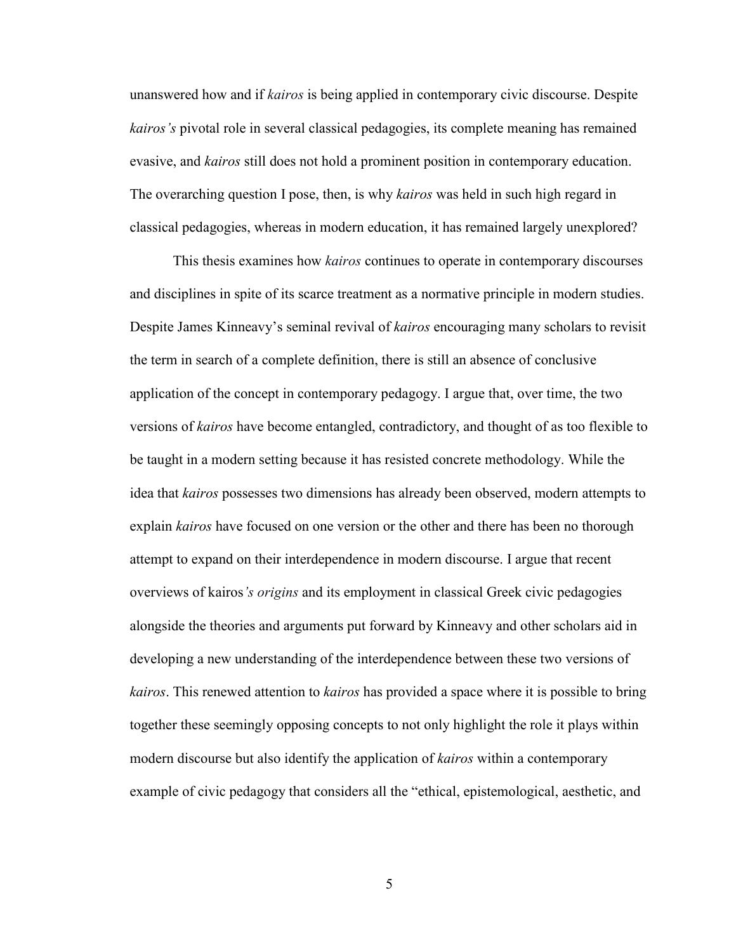unanswered how and if *kairos* is being applied in contemporary civic discourse. Despite *kairos's* pivotal role in several classical pedagogies, its complete meaning has remained evasive, and *kairos* still does not hold a prominent position in contemporary education. The overarching question I pose, then, is why *kairos* was held in such high regard in classical pedagogies, whereas in modern education, it has remained largely unexplored?

This thesis examines how *kairos* continues to operate in contemporary discourses and disciplines in spite of its scarce treatment as a normative principle in modern studies. Despite James Kinneavy's seminal revival of *kairos* encouraging many scholars to revisit the term in search of a complete definition, there is still an absence of conclusive application of the concept in contemporary pedagogy. I argue that, over time, the two versions of *kairos* have become entangled, contradictory, and thought of as too flexible to be taught in a modern setting because it has resisted concrete methodology. While the idea that *kairos* possesses two dimensions has already been observed, modern attempts to explain *kairos* have focused on one version or the other and there has been no thorough attempt to expand on their interdependence in modern discourse. I argue that recent overviews of kairos*'s origins* and its employment in classical Greek civic pedagogies alongside the theories and arguments put forward by Kinneavy and other scholars aid in developing a new understanding of the interdependence between these two versions of *kairos*. This renewed attention to *kairos* has provided a space where it is possible to bring together these seemingly opposing concepts to not only highlight the role it plays within modern discourse but also identify the application of *kairos* within a contemporary example of civic pedagogy that considers all the "ethical, epistemological, aesthetic, and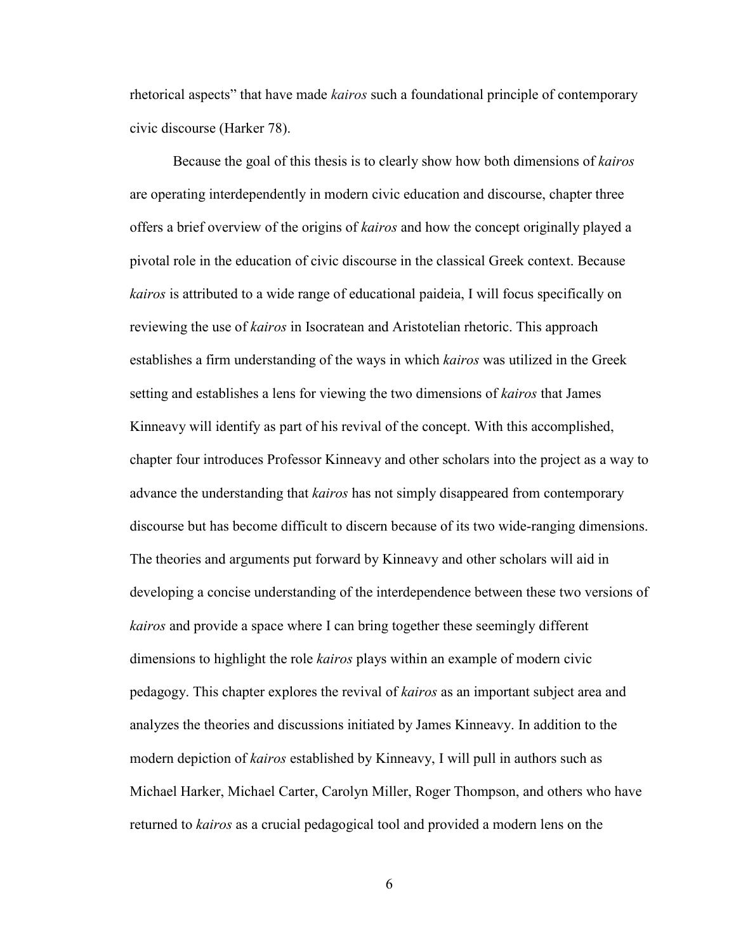rhetorical aspects" that have made *kairos* such a foundational principle of contemporary civic discourse (Harker 78).

Because the goal of this thesis is to clearly show how both dimensions of *kairos* are operating interdependently in modern civic education and discourse, chapter three offers a brief overview of the origins of *kairos* and how the concept originally played a pivotal role in the education of civic discourse in the classical Greek context. Because *kairos* is attributed to a wide range of educational paideia, I will focus specifically on reviewing the use of *kairos* in Isocratean and Aristotelian rhetoric. This approach establishes a firm understanding of the ways in which *kairos* was utilized in the Greek setting and establishes a lens for viewing the two dimensions of *kairos* that James Kinneavy will identify as part of his revival of the concept. With this accomplished, chapter four introduces Professor Kinneavy and other scholars into the project as a way to advance the understanding that *kairos* has not simply disappeared from contemporary discourse but has become difficult to discern because of its two wide-ranging dimensions. The theories and arguments put forward by Kinneavy and other scholars will aid in developing a concise understanding of the interdependence between these two versions of *kairos* and provide a space where I can bring together these seemingly different dimensions to highlight the role *kairos* plays within an example of modern civic pedagogy. This chapter explores the revival of *kairos* as an important subject area and analyzes the theories and discussions initiated by James Kinneavy. In addition to the modern depiction of *kairos* established by Kinneavy, I will pull in authors such as Michael Harker, Michael Carter, Carolyn Miller, Roger Thompson, and others who have returned to *kairos* as a crucial pedagogical tool and provided a modern lens on the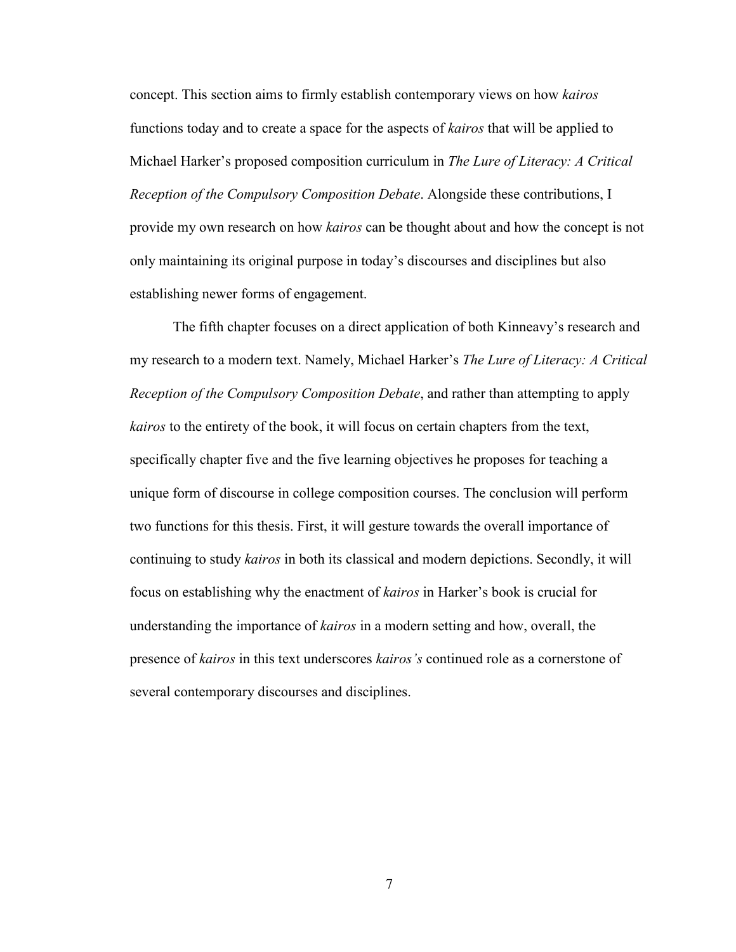concept. This section aims to firmly establish contemporary views on how *kairos* functions today and to create a space for the aspects of *kairos* that will be applied to Michael Harker's proposed composition curriculum in *The Lure of Literacy: A Critical Reception of the Compulsory Composition Debate*. Alongside these contributions, I provide my own research on how *kairos* can be thought about and how the concept is not only maintaining its original purpose in today's discourses and disciplines but also establishing newer forms of engagement.

The fifth chapter focuses on a direct application of both Kinneavy's research and my research to a modern text. Namely, Michael Harker's *The Lure of Literacy: A Critical Reception of the Compulsory Composition Debate*, and rather than attempting to apply *kairos* to the entirety of the book, it will focus on certain chapters from the text, specifically chapter five and the five learning objectives he proposes for teaching a unique form of discourse in college composition courses. The conclusion will perform two functions for this thesis. First, it will gesture towards the overall importance of continuing to study *kairos* in both its classical and modern depictions. Secondly, it will focus on establishing why the enactment of *kairos* in Harker's book is crucial for understanding the importance of *kairos* in a modern setting and how, overall, the presence of *kairos* in this text underscores *kairos's* continued role as a cornerstone of several contemporary discourses and disciplines.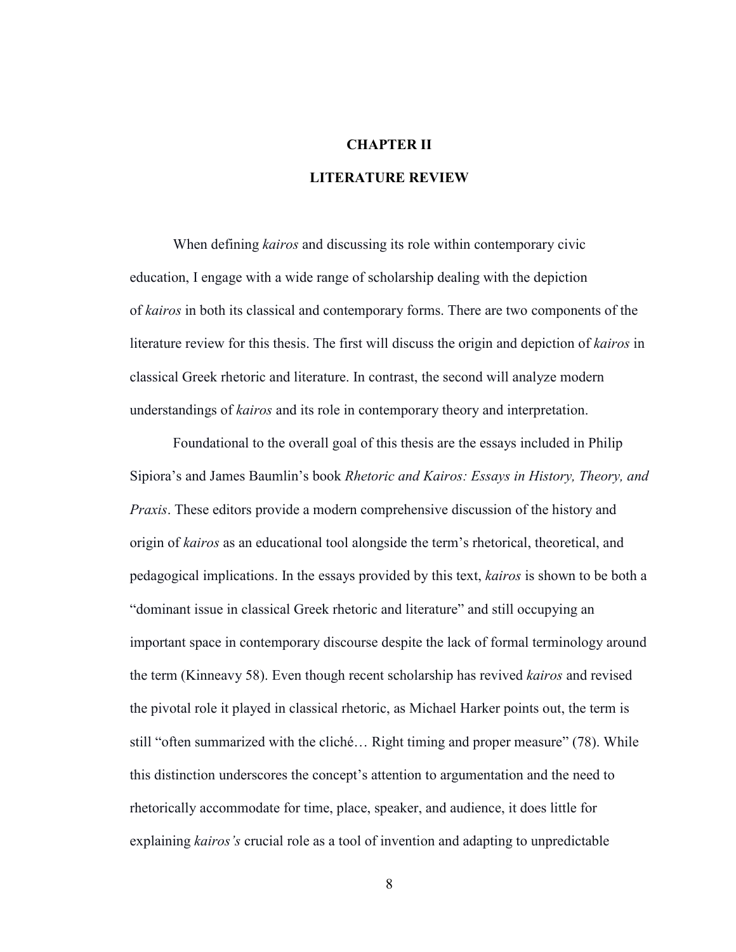#### **CHAPTER II**

#### **LITERATURE REVIEW**

When defining *kairos* and discussing its role within contemporary civic education, I engage with a wide range of scholarship dealing with the depiction of *kairos* in both its classical and contemporary forms. There are two components of the literature review for this thesis. The first will discuss the origin and depiction of *kairos* in classical Greek rhetoric and literature. In contrast, the second will analyze modern understandings of *kairos* and its role in contemporary theory and interpretation.

Foundational to the overall goal of this thesis are the essays included in Philip Sipiora's and James Baumlin's book *Rhetoric and Kairos: Essays in History, Theory, and Praxis*. These editors provide a modern comprehensive discussion of the history and origin of *kairos* as an educational tool alongside the term's rhetorical, theoretical, and pedagogical implications. In the essays provided by this text, *kairos* is shown to be both a "dominant issue in classical Greek rhetoric and literature" and still occupying an important space in contemporary discourse despite the lack of formal terminology around the term (Kinneavy 58). Even though recent scholarship has revived *kairos* and revised the pivotal role it played in classical rhetoric, as Michael Harker points out, the term is still "often summarized with the cliché… Right timing and proper measure" (78). While this distinction underscores the concept's attention to argumentation and the need to rhetorically accommodate for time, place, speaker, and audience, it does little for explaining *kairos's* crucial role as a tool of invention and adapting to unpredictable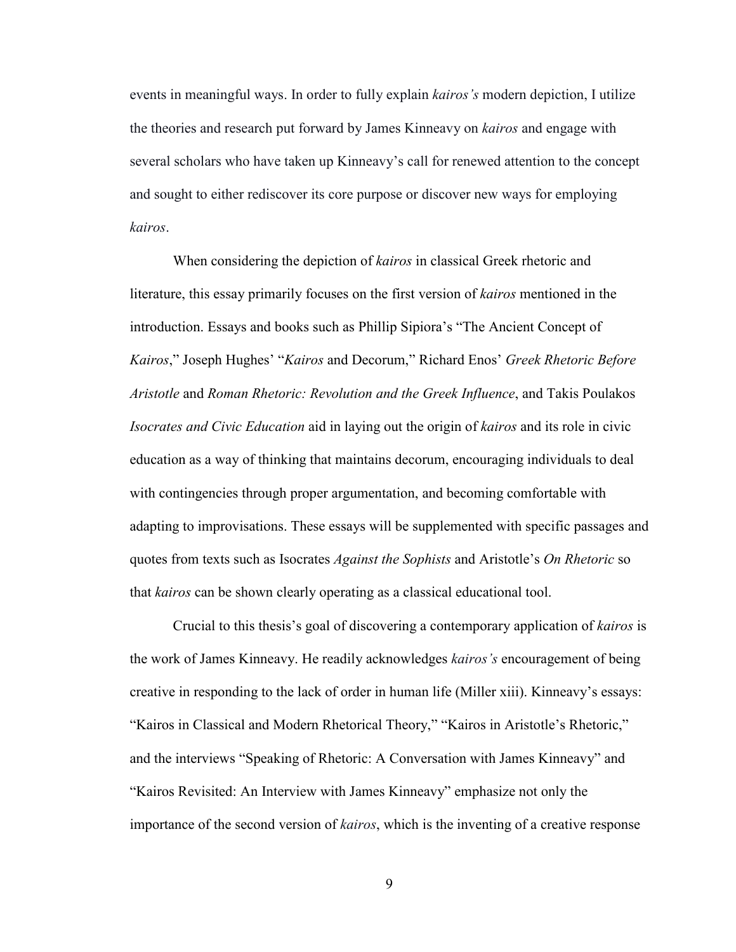events in meaningful ways. In order to fully explain *kairos's* modern depiction, I utilize the theories and research put forward by James Kinneavy on *kairos* and engage with several scholars who have taken up Kinneavy's call for renewed attention to the concept and sought to either rediscover its core purpose or discover new ways for employing *kairos*.

 When considering the depiction of *kairos* in classical Greek rhetoric and literature, this essay primarily focuses on the first version of *kairos* mentioned in the introduction. Essays and books such as Phillip Sipiora's "The Ancient Concept of *Kairos*," Joseph Hughes' "*Kairos* and Decorum," Richard Enos' *Greek Rhetoric Before Aristotle* and *Roman Rhetoric: Revolution and the Greek Influence*, and Takis Poulakos *Isocrates and Civic Education* aid in laying out the origin of *kairos* and its role in civic education as a way of thinking that maintains decorum, encouraging individuals to deal with contingencies through proper argumentation, and becoming comfortable with adapting to improvisations. These essays will be supplemented with specific passages and quotes from texts such as Isocrates *Against the Sophists* and Aristotle's *On Rhetoric* so that *kairos* can be shown clearly operating as a classical educational tool.

Crucial to this thesis's goal of discovering a contemporary application of *kairos* is the work of James Kinneavy. He readily acknowledges *kairos's* encouragement of being creative in responding to the lack of order in human life (Miller xiii). Kinneavy's essays: "Kairos in Classical and Modern Rhetorical Theory," "Kairos in Aristotle's Rhetoric," and the interviews "Speaking of Rhetoric: A Conversation with James Kinneavy" and "Kairos Revisited: An Interview with James Kinneavy" emphasize not only the importance of the second version of *kairos*, which is the inventing of a creative response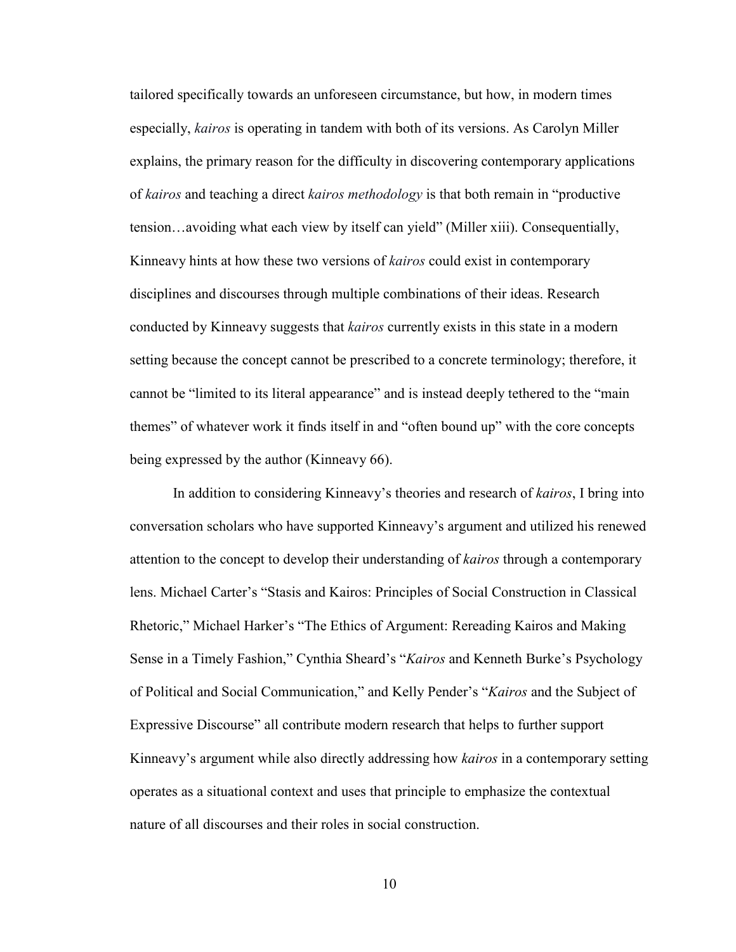tailored specifically towards an unforeseen circumstance, but how, in modern times especially, *kairos* is operating in tandem with both of its versions. As Carolyn Miller explains, the primary reason for the difficulty in discovering contemporary applications of *kairos* and teaching a direct *kairos methodology* is that both remain in "productive tension…avoiding what each view by itself can yield" (Miller xiii). Consequentially, Kinneavy hints at how these two versions of *kairos* could exist in contemporary disciplines and discourses through multiple combinations of their ideas. Research conducted by Kinneavy suggests that *kairos* currently exists in this state in a modern setting because the concept cannot be prescribed to a concrete terminology; therefore, it cannot be "limited to its literal appearance" and is instead deeply tethered to the "main themes" of whatever work it finds itself in and "often bound up" with the core concepts being expressed by the author (Kinneavy 66).

In addition to considering Kinneavy's theories and research of *kairos*, I bring into conversation scholars who have supported Kinneavy's argument and utilized his renewed attention to the concept to develop their understanding of *kairos* through a contemporary lens. Michael Carter's "Stasis and Kairos: Principles of Social Construction in Classical Rhetoric," Michael Harker's "The Ethics of Argument: Rereading Kairos and Making Sense in a Timely Fashion," Cynthia Sheard's "*Kairos* and Kenneth Burke's Psychology of Political and Social Communication," and Kelly Pender's "*Kairos* and the Subject of Expressive Discourse" all contribute modern research that helps to further support Kinneavy's argument while also directly addressing how *kairos* in a contemporary setting operates as a situational context and uses that principle to emphasize the contextual nature of all discourses and their roles in social construction.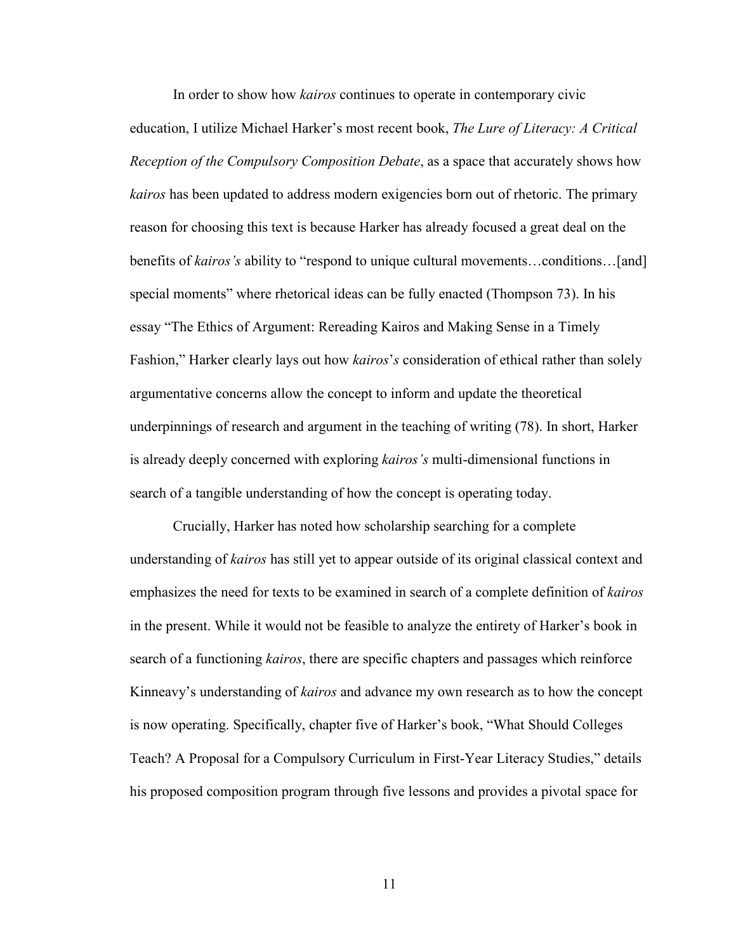In order to show how *kairos* continues to operate in contemporary civic education, I utilize Michael Harker's most recent book, *The Lure of Literacy: A Critical Reception of the Compulsory Composition Debate*, as a space that accurately shows how *kairos* has been updated to address modern exigencies born out of rhetoric. The primary reason for choosing this text is because Harker has already focused a great deal on the benefits of *kairos's* ability to "respond to unique cultural movements…conditions…[and] special moments" where rhetorical ideas can be fully enacted (Thompson 73). In his essay "The Ethics of Argument: Rereading Kairos and Making Sense in a Timely Fashion," Harker clearly lays out how *kairos*'*s* consideration of ethical rather than solely argumentative concerns allow the concept to inform and update the theoretical underpinnings of research and argument in the teaching of writing (78). In short, Harker is already deeply concerned with exploring *kairos's* multi-dimensional functions in search of a tangible understanding of how the concept is operating today.

Crucially, Harker has noted how scholarship searching for a complete understanding of *kairos* has still yet to appear outside of its original classical context and emphasizes the need for texts to be examined in search of a complete definition of *kairos* in the present. While it would not be feasible to analyze the entirety of Harker's book in search of a functioning *kairos*, there are specific chapters and passages which reinforce Kinneavy's understanding of *kairos* and advance my own research as to how the concept is now operating. Specifically, chapter five of Harker's book, "What Should Colleges Teach? A Proposal for a Compulsory Curriculum in First-Year Literacy Studies," details his proposed composition program through five lessons and provides a pivotal space for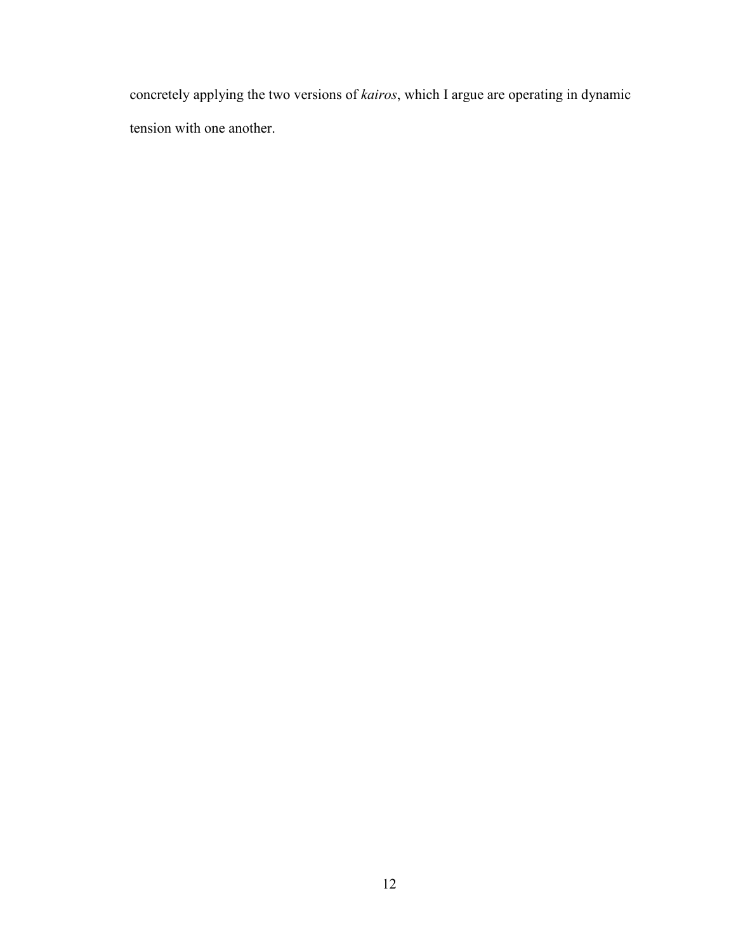concretely applying the two versions of *kairos*, which I argue are operating in dynamic tension with one another.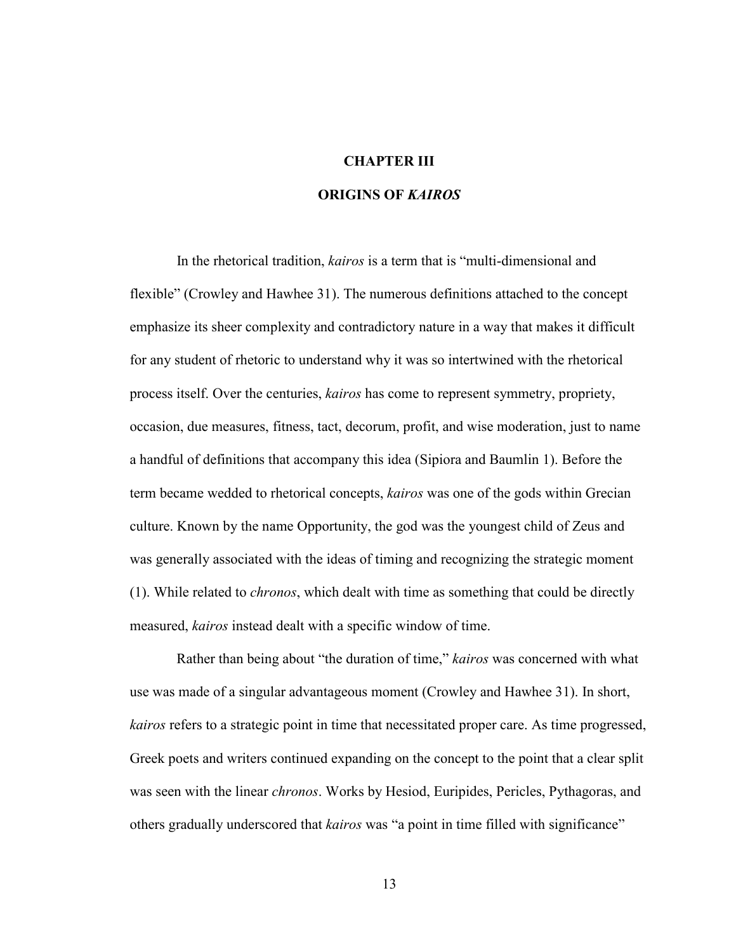### **CHAPTER III**

#### **ORIGINS OF** *KAIROS*

 In the rhetorical tradition, *kairos* is a term that is "multi-dimensional and flexible" (Crowley and Hawhee 31). The numerous definitions attached to the concept emphasize its sheer complexity and contradictory nature in a way that makes it difficult for any student of rhetoric to understand why it was so intertwined with the rhetorical process itself. Over the centuries, *kairos* has come to represent symmetry, propriety, occasion, due measures, fitness, tact, decorum, profit, and wise moderation, just to name a handful of definitions that accompany this idea (Sipiora and Baumlin 1). Before the term became wedded to rhetorical concepts, *kairos* was one of the gods within Grecian culture. Known by the name Opportunity, the god was the youngest child of Zeus and was generally associated with the ideas of timing and recognizing the strategic moment (1). While related to *chronos*, which dealt with time as something that could be directly measured, *kairos* instead dealt with a specific window of time.

 Rather than being about "the duration of time," *kairos* was concerned with what use was made of a singular advantageous moment (Crowley and Hawhee 31). In short, *kairos* refers to a strategic point in time that necessitated proper care. As time progressed, Greek poets and writers continued expanding on the concept to the point that a clear split was seen with the linear *chronos*. Works by Hesiod, Euripides, Pericles, Pythagoras, and others gradually underscored that *kairos* was "a point in time filled with significance"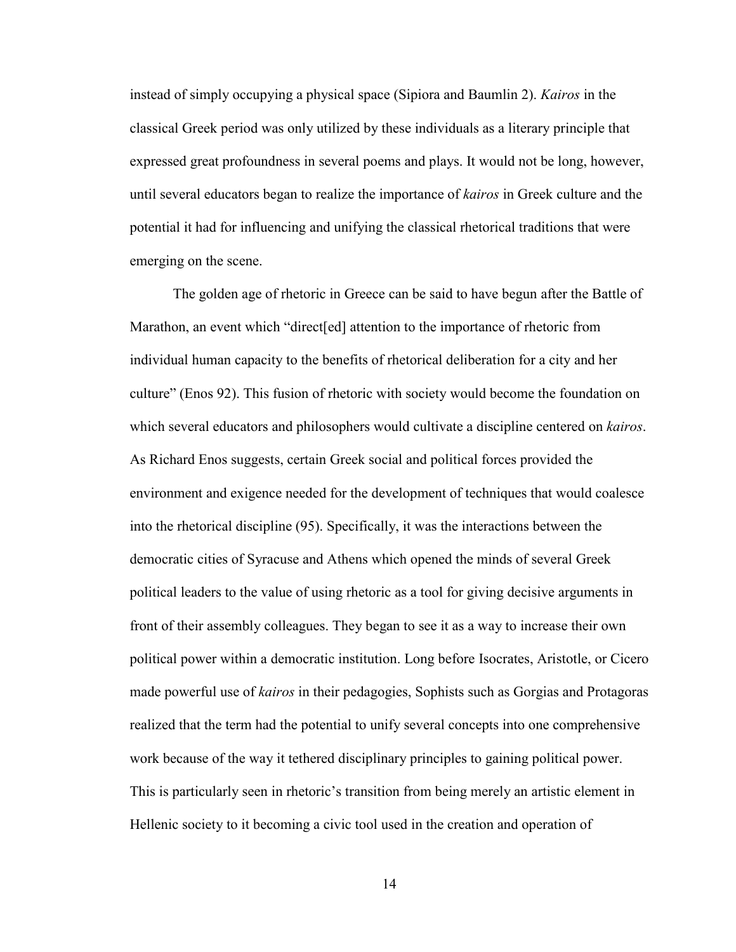instead of simply occupying a physical space (Sipiora and Baumlin 2). *Kairos* in the classical Greek period was only utilized by these individuals as a literary principle that expressed great profoundness in several poems and plays. It would not be long, however, until several educators began to realize the importance of *kairos* in Greek culture and the potential it had for influencing and unifying the classical rhetorical traditions that were emerging on the scene.

The golden age of rhetoric in Greece can be said to have begun after the Battle of Marathon, an event which "direct[ed] attention to the importance of rhetoric from individual human capacity to the benefits of rhetorical deliberation for a city and her culture" (Enos 92). This fusion of rhetoric with society would become the foundation on which several educators and philosophers would cultivate a discipline centered on *kairos*. As Richard Enos suggests, certain Greek social and political forces provided the environment and exigence needed for the development of techniques that would coalesce into the rhetorical discipline (95). Specifically, it was the interactions between the democratic cities of Syracuse and Athens which opened the minds of several Greek political leaders to the value of using rhetoric as a tool for giving decisive arguments in front of their assembly colleagues. They began to see it as a way to increase their own political power within a democratic institution. Long before Isocrates, Aristotle, or Cicero made powerful use of *kairos* in their pedagogies, Sophists such as Gorgias and Protagoras realized that the term had the potential to unify several concepts into one comprehensive work because of the way it tethered disciplinary principles to gaining political power. This is particularly seen in rhetoric's transition from being merely an artistic element in Hellenic society to it becoming a civic tool used in the creation and operation of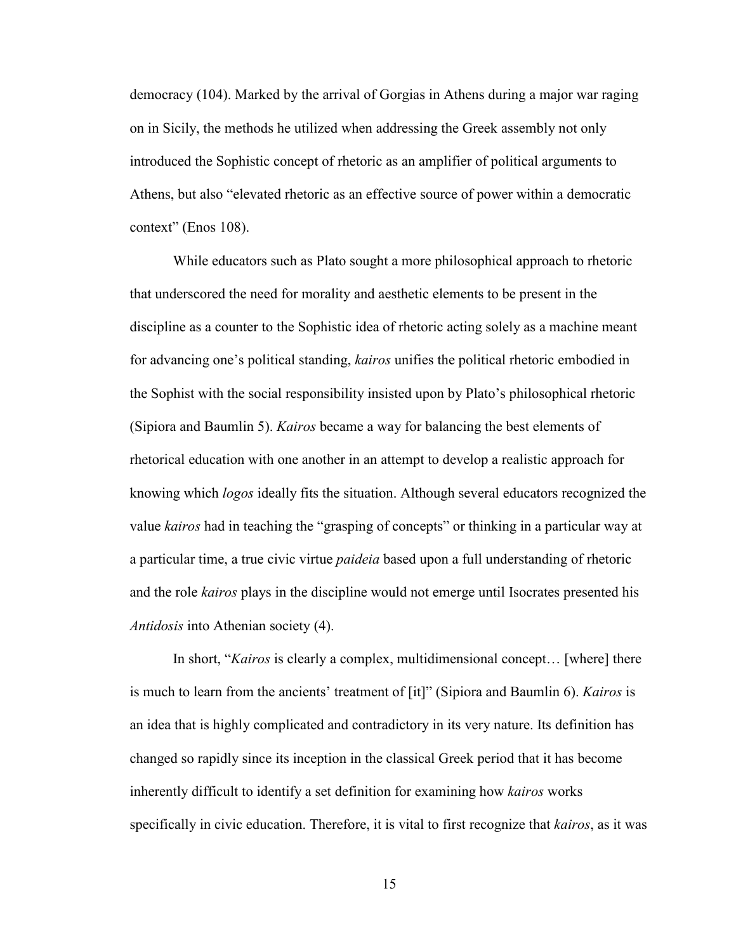democracy (104). Marked by the arrival of Gorgias in Athens during a major war raging on in Sicily, the methods he utilized when addressing the Greek assembly not only introduced the Sophistic concept of rhetoric as an amplifier of political arguments to Athens, but also "elevated rhetoric as an effective source of power within a democratic context" (Enos 108).

While educators such as Plato sought a more philosophical approach to rhetoric that underscored the need for morality and aesthetic elements to be present in the discipline as a counter to the Sophistic idea of rhetoric acting solely as a machine meant for advancing one's political standing, *kairos* unifies the political rhetoric embodied in the Sophist with the social responsibility insisted upon by Plato's philosophical rhetoric (Sipiora and Baumlin 5). *Kairos* became a way for balancing the best elements of rhetorical education with one another in an attempt to develop a realistic approach for knowing which *logos* ideally fits the situation. Although several educators recognized the value *kairos* had in teaching the "grasping of concepts" or thinking in a particular way at a particular time, a true civic virtue *paideia* based upon a full understanding of rhetoric and the role *kairos* plays in the discipline would not emerge until Isocrates presented his *Antidosis* into Athenian society (4).

In short, "*Kairos* is clearly a complex, multidimensional concept… [where] there is much to learn from the ancients' treatment of [it]" (Sipiora and Baumlin 6). *Kairos* is an idea that is highly complicated and contradictory in its very nature. Its definition has changed so rapidly since its inception in the classical Greek period that it has become inherently difficult to identify a set definition for examining how *kairos* works specifically in civic education. Therefore, it is vital to first recognize that *kairos*, as it was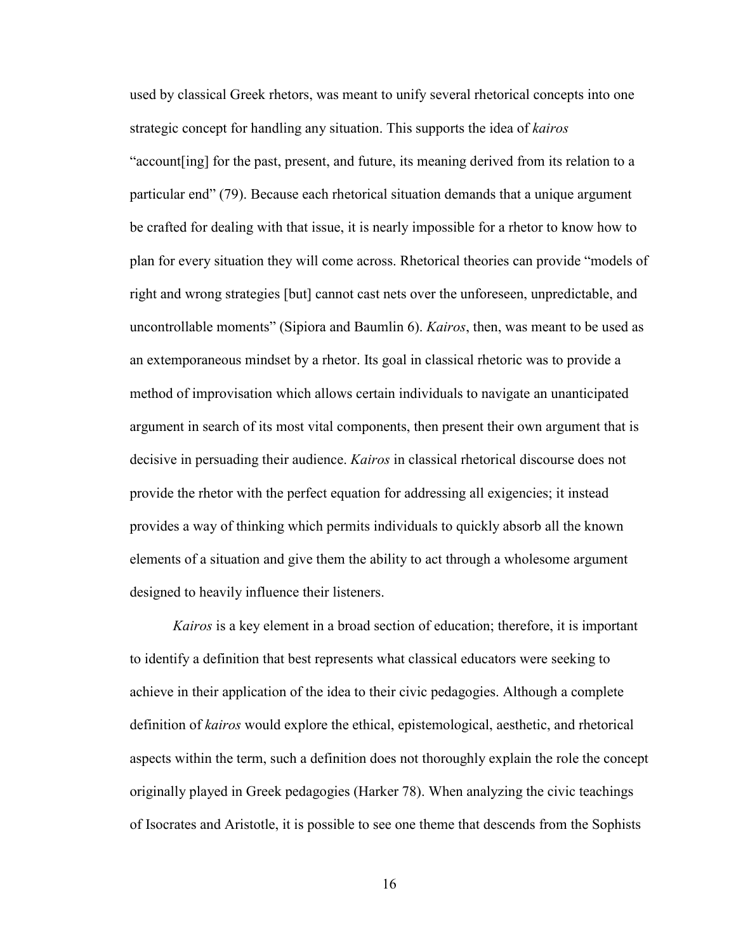used by classical Greek rhetors, was meant to unify several rhetorical concepts into one strategic concept for handling any situation. This supports the idea of *kairos* "account[ing] for the past, present, and future, its meaning derived from its relation to a particular end" (79). Because each rhetorical situation demands that a unique argument be crafted for dealing with that issue, it is nearly impossible for a rhetor to know how to plan for every situation they will come across. Rhetorical theories can provide "models of right and wrong strategies [but] cannot cast nets over the unforeseen, unpredictable, and uncontrollable moments" (Sipiora and Baumlin 6). *Kairos*, then, was meant to be used as an extemporaneous mindset by a rhetor. Its goal in classical rhetoric was to provide a method of improvisation which allows certain individuals to navigate an unanticipated argument in search of its most vital components, then present their own argument that is decisive in persuading their audience. *Kairos* in classical rhetorical discourse does not provide the rhetor with the perfect equation for addressing all exigencies; it instead provides a way of thinking which permits individuals to quickly absorb all the known elements of a situation and give them the ability to act through a wholesome argument designed to heavily influence their listeners.

*Kairos* is a key element in a broad section of education; therefore, it is important to identify a definition that best represents what classical educators were seeking to achieve in their application of the idea to their civic pedagogies. Although a complete definition of *kairos* would explore the ethical, epistemological, aesthetic, and rhetorical aspects within the term, such a definition does not thoroughly explain the role the concept originally played in Greek pedagogies (Harker 78). When analyzing the civic teachings of Isocrates and Aristotle, it is possible to see one theme that descends from the Sophists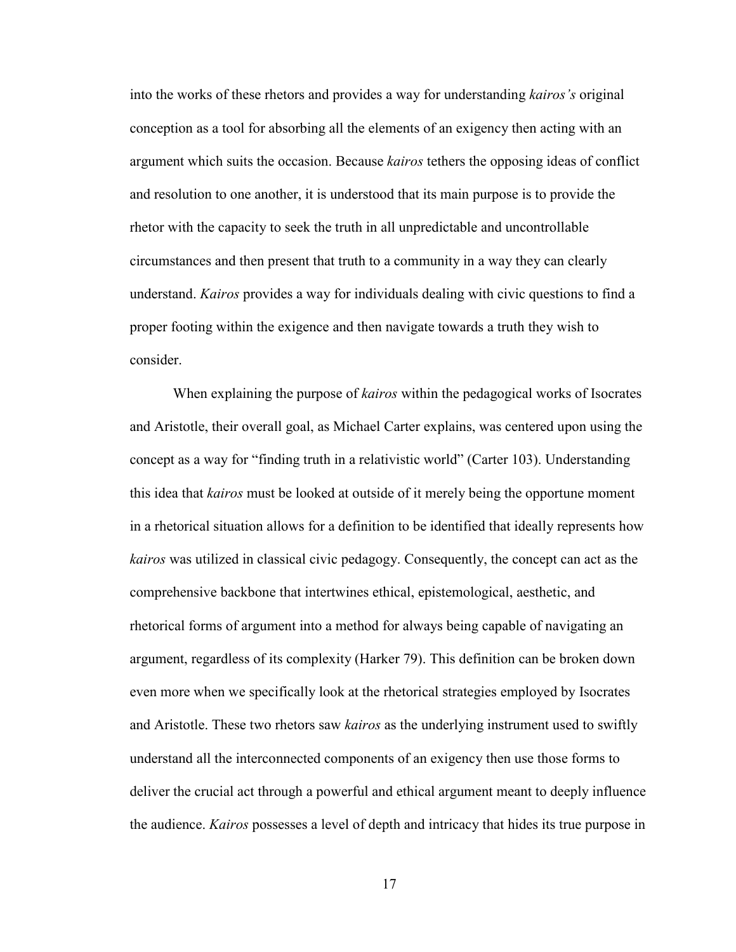into the works of these rhetors and provides a way for understanding *kairos's* original conception as a tool for absorbing all the elements of an exigency then acting with an argument which suits the occasion. Because *kairos* tethers the opposing ideas of conflict and resolution to one another, it is understood that its main purpose is to provide the rhetor with the capacity to seek the truth in all unpredictable and uncontrollable circumstances and then present that truth to a community in a way they can clearly understand. *Kairos* provides a way for individuals dealing with civic questions to find a proper footing within the exigence and then navigate towards a truth they wish to consider.

When explaining the purpose of *kairos* within the pedagogical works of Isocrates and Aristotle, their overall goal, as Michael Carter explains, was centered upon using the concept as a way for "finding truth in a relativistic world" (Carter 103). Understanding this idea that *kairos* must be looked at outside of it merely being the opportune moment in a rhetorical situation allows for a definition to be identified that ideally represents how *kairos* was utilized in classical civic pedagogy. Consequently, the concept can act as the comprehensive backbone that intertwines ethical, epistemological, aesthetic, and rhetorical forms of argument into a method for always being capable of navigating an argument, regardless of its complexity (Harker 79). This definition can be broken down even more when we specifically look at the rhetorical strategies employed by Isocrates and Aristotle. These two rhetors saw *kairos* as the underlying instrument used to swiftly understand all the interconnected components of an exigency then use those forms to deliver the crucial act through a powerful and ethical argument meant to deeply influence the audience. *Kairos* possesses a level of depth and intricacy that hides its true purpose in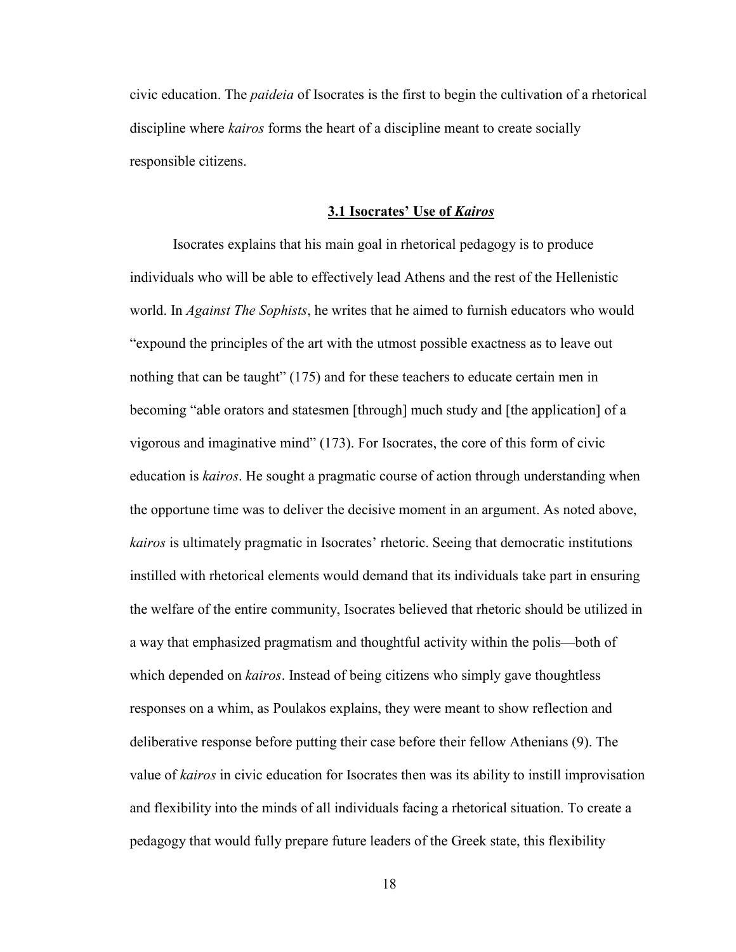civic education. The *paideia* of Isocrates is the first to begin the cultivation of a rhetorical discipline where *kairos* forms the heart of a discipline meant to create socially responsible citizens.

#### **3.1 Isocrates' Use of** *Kairos*

Isocrates explains that his main goal in rhetorical pedagogy is to produce individuals who will be able to effectively lead Athens and the rest of the Hellenistic world. In *Against The Sophists*, he writes that he aimed to furnish educators who would "expound the principles of the art with the utmost possible exactness as to leave out nothing that can be taught" (175) and for these teachers to educate certain men in becoming "able orators and statesmen [through] much study and [the application] of a vigorous and imaginative mind" (173). For Isocrates, the core of this form of civic education is *kairos*. He sought a pragmatic course of action through understanding when the opportune time was to deliver the decisive moment in an argument. As noted above, *kairos* is ultimately pragmatic in Isocrates' rhetoric. Seeing that democratic institutions instilled with rhetorical elements would demand that its individuals take part in ensuring the welfare of the entire community, Isocrates believed that rhetoric should be utilized in a way that emphasized pragmatism and thoughtful activity within the polis—both of which depended on *kairos*. Instead of being citizens who simply gave thoughtless responses on a whim, as Poulakos explains, they were meant to show reflection and deliberative response before putting their case before their fellow Athenians (9). The value of *kairos* in civic education for Isocrates then was its ability to instill improvisation and flexibility into the minds of all individuals facing a rhetorical situation. To create a pedagogy that would fully prepare future leaders of the Greek state, this flexibility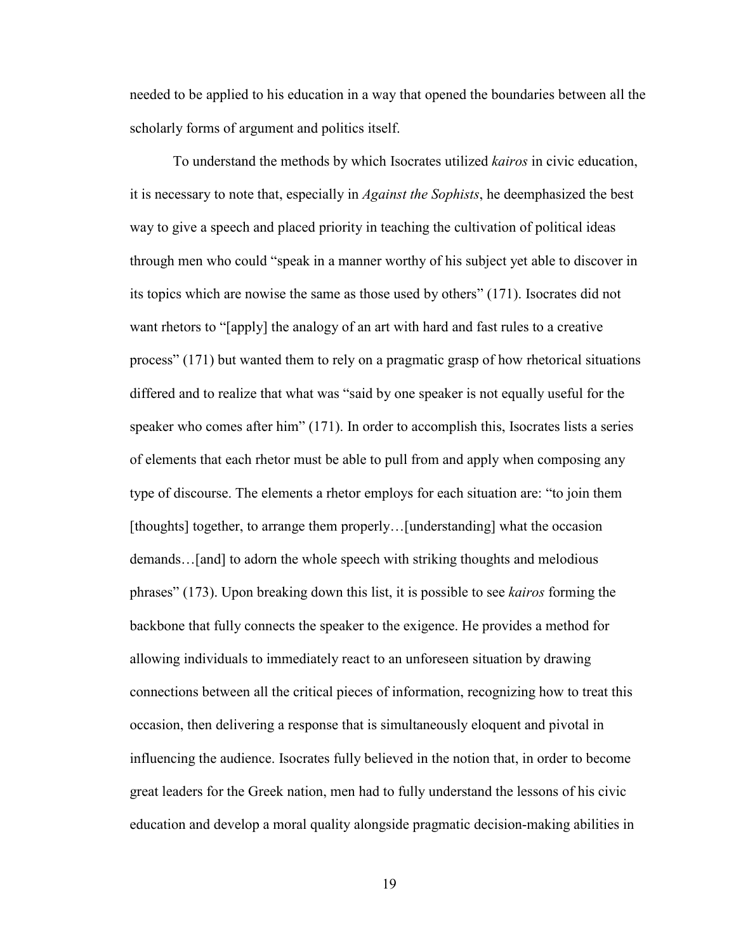needed to be applied to his education in a way that opened the boundaries between all the scholarly forms of argument and politics itself.

To understand the methods by which Isocrates utilized *kairos* in civic education, it is necessary to note that, especially in *Against the Sophists*, he deemphasized the best way to give a speech and placed priority in teaching the cultivation of political ideas through men who could "speak in a manner worthy of his subject yet able to discover in its topics which are nowise the same as those used by others" (171). Isocrates did not want rhetors to "[apply] the analogy of an art with hard and fast rules to a creative process" (171) but wanted them to rely on a pragmatic grasp of how rhetorical situations differed and to realize that what was "said by one speaker is not equally useful for the speaker who comes after him" (171). In order to accomplish this, Isocrates lists a series of elements that each rhetor must be able to pull from and apply when composing any type of discourse. The elements a rhetor employs for each situation are: "to join them [thoughts] together, to arrange them properly…[understanding] what the occasion demands…[and] to adorn the whole speech with striking thoughts and melodious phrases" (173). Upon breaking down this list, it is possible to see *kairos* forming the backbone that fully connects the speaker to the exigence. He provides a method for allowing individuals to immediately react to an unforeseen situation by drawing connections between all the critical pieces of information, recognizing how to treat this occasion, then delivering a response that is simultaneously eloquent and pivotal in influencing the audience. Isocrates fully believed in the notion that, in order to become great leaders for the Greek nation, men had to fully understand the lessons of his civic education and develop a moral quality alongside pragmatic decision-making abilities in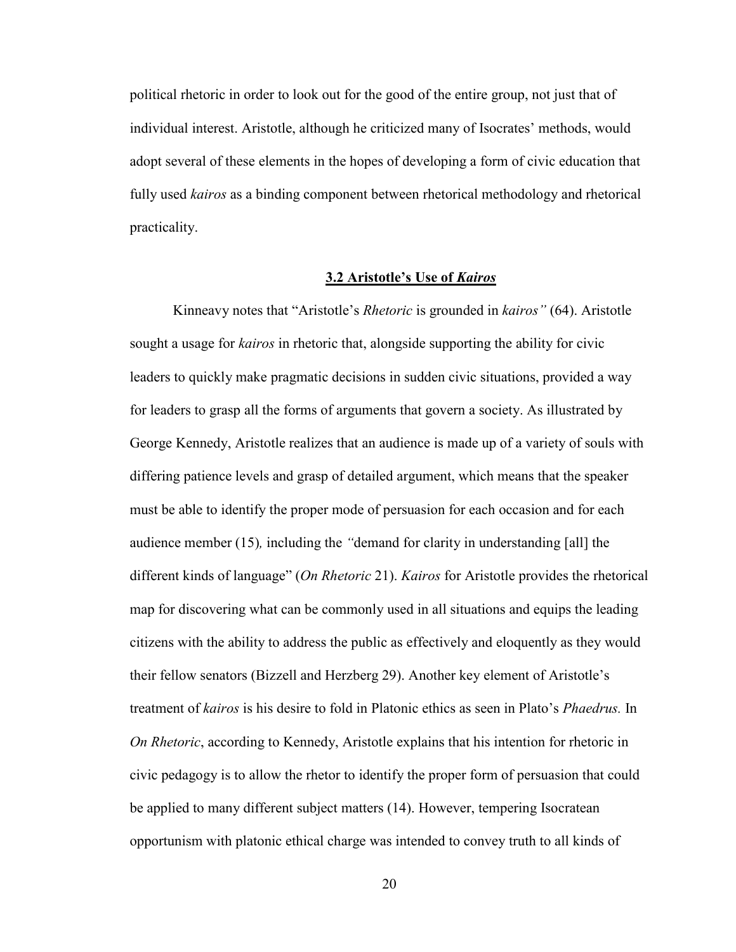political rhetoric in order to look out for the good of the entire group, not just that of individual interest. Aristotle, although he criticized many of Isocrates' methods, would adopt several of these elements in the hopes of developing a form of civic education that fully used *kairos* as a binding component between rhetorical methodology and rhetorical practicality.

#### **3.2 Aristotle's Use of** *Kairos*

Kinneavy notes that "Aristotle's *Rhetoric* is grounded in *kairos"* (64). Aristotle sought a usage for *kairos* in rhetoric that, alongside supporting the ability for civic leaders to quickly make pragmatic decisions in sudden civic situations, provided a way for leaders to grasp all the forms of arguments that govern a society. As illustrated by George Kennedy, Aristotle realizes that an audience is made up of a variety of souls with differing patience levels and grasp of detailed argument, which means that the speaker must be able to identify the proper mode of persuasion for each occasion and for each audience member (15)*,* including the *"*demand for clarity in understanding [all] the different kinds of language" (*On Rhetoric* 21). *Kairos* for Aristotle provides the rhetorical map for discovering what can be commonly used in all situations and equips the leading citizens with the ability to address the public as effectively and eloquently as they would their fellow senators (Bizzell and Herzberg 29). Another key element of Aristotle's treatment of *kairos* is his desire to fold in Platonic ethics as seen in Plato's *Phaedrus.* In *On Rhetoric*, according to Kennedy, Aristotle explains that his intention for rhetoric in civic pedagogy is to allow the rhetor to identify the proper form of persuasion that could be applied to many different subject matters (14). However, tempering Isocratean opportunism with platonic ethical charge was intended to convey truth to all kinds of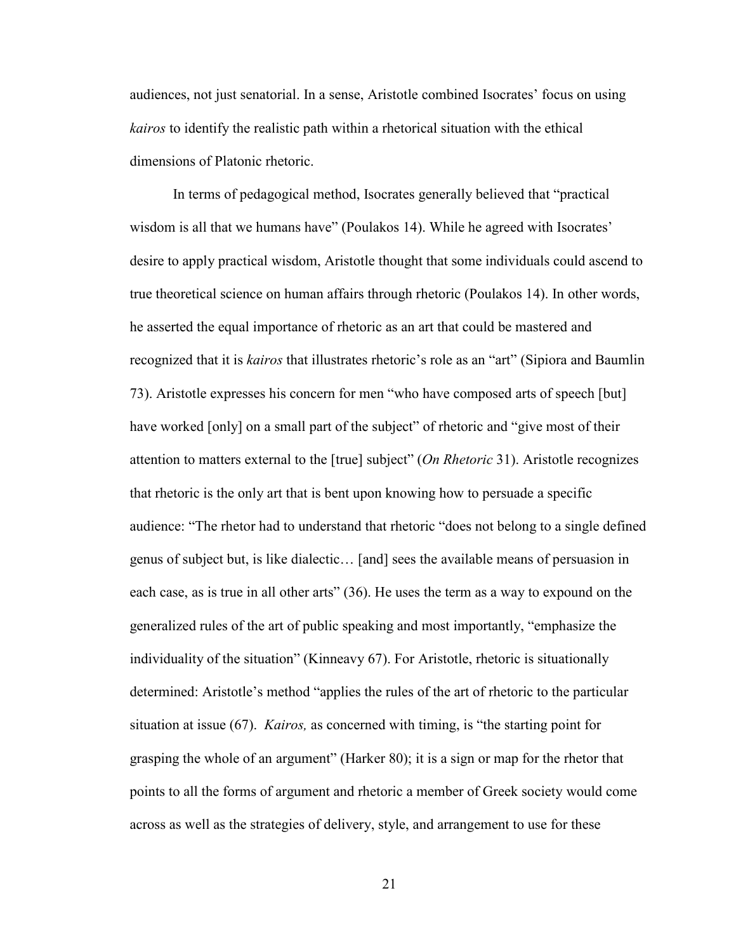audiences, not just senatorial. In a sense, Aristotle combined Isocrates' focus on using *kairos* to identify the realistic path within a rhetorical situation with the ethical dimensions of Platonic rhetoric.

In terms of pedagogical method, Isocrates generally believed that "practical wisdom is all that we humans have" (Poulakos 14). While he agreed with Isocrates' desire to apply practical wisdom, Aristotle thought that some individuals could ascend to true theoretical science on human affairs through rhetoric (Poulakos 14). In other words, he asserted the equal importance of rhetoric as an art that could be mastered and recognized that it is *kairos* that illustrates rhetoric's role as an "art" (Sipiora and Baumlin 73). Aristotle expresses his concern for men "who have composed arts of speech [but] have worked [only] on a small part of the subject" of rhetoric and "give most of their attention to matters external to the [true] subject" (*On Rhetoric* 31). Aristotle recognizes that rhetoric is the only art that is bent upon knowing how to persuade a specific audience: "The rhetor had to understand that rhetoric "does not belong to a single defined genus of subject but, is like dialectic… [and] sees the available means of persuasion in each case, as is true in all other arts" (36). He uses the term as a way to expound on the generalized rules of the art of public speaking and most importantly, "emphasize the individuality of the situation" (Kinneavy 67). For Aristotle, rhetoric is situationally determined: Aristotle's method "applies the rules of the art of rhetoric to the particular situation at issue (67). *Kairos,* as concerned with timing, is "the starting point for grasping the whole of an argument" (Harker 80); it is a sign or map for the rhetor that points to all the forms of argument and rhetoric a member of Greek society would come across as well as the strategies of delivery, style, and arrangement to use for these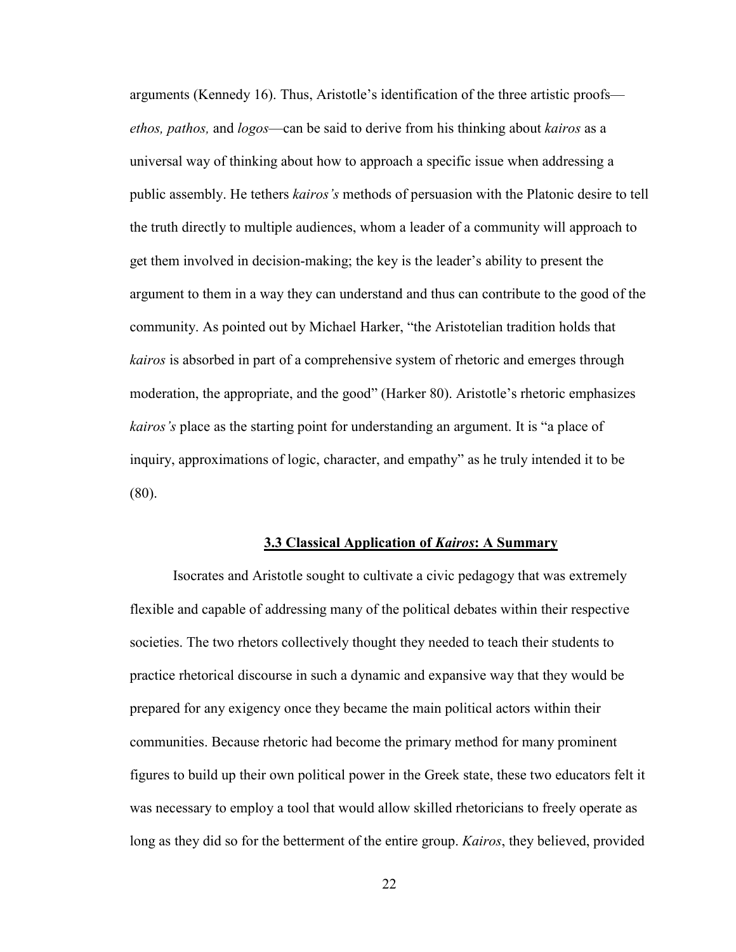arguments (Kennedy 16). Thus, Aristotle's identification of the three artistic proofs *ethos, pathos,* and *logos*—can be said to derive from his thinking about *kairos* as a universal way of thinking about how to approach a specific issue when addressing a public assembly. He tethers *kairos's* methods of persuasion with the Platonic desire to tell the truth directly to multiple audiences, whom a leader of a community will approach to get them involved in decision-making; the key is the leader's ability to present the argument to them in a way they can understand and thus can contribute to the good of the community. As pointed out by Michael Harker, "the Aristotelian tradition holds that *kairos* is absorbed in part of a comprehensive system of rhetoric and emerges through moderation, the appropriate, and the good" (Harker 80). Aristotle's rhetoric emphasizes *kairos's* place as the starting point for understanding an argument. It is "a place of inquiry, approximations of logic, character, and empathy" as he truly intended it to be (80).

#### **3.3 Classical Application of** *Kairos***: A Summary**

Isocrates and Aristotle sought to cultivate a civic pedagogy that was extremely flexible and capable of addressing many of the political debates within their respective societies. The two rhetors collectively thought they needed to teach their students to practice rhetorical discourse in such a dynamic and expansive way that they would be prepared for any exigency once they became the main political actors within their communities. Because rhetoric had become the primary method for many prominent figures to build up their own political power in the Greek state, these two educators felt it was necessary to employ a tool that would allow skilled rhetoricians to freely operate as long as they did so for the betterment of the entire group. *Kairos*, they believed, provided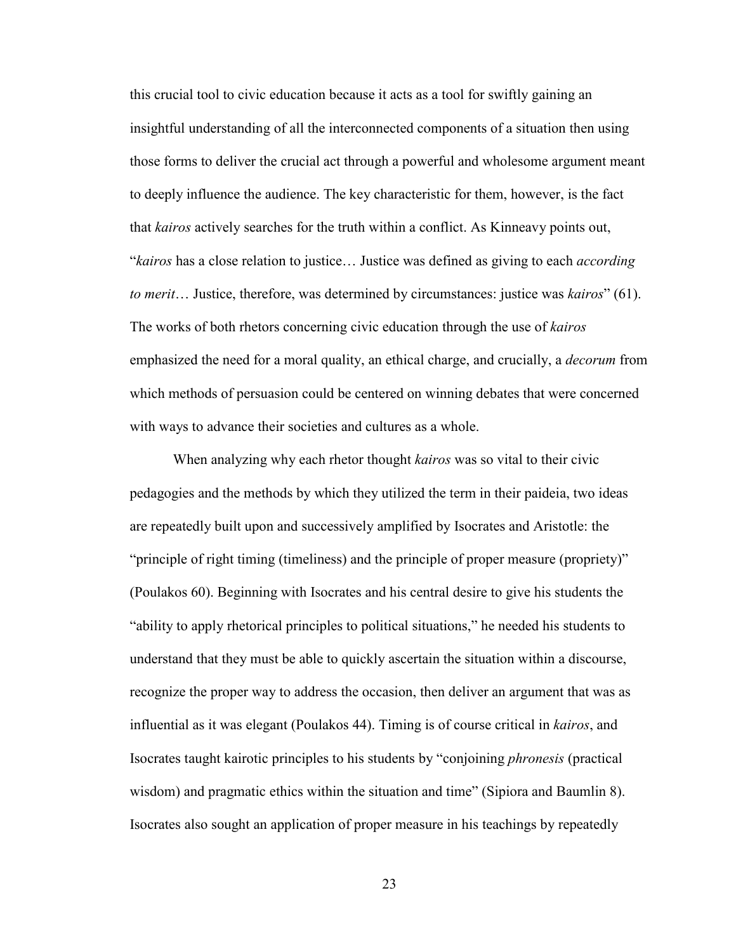this crucial tool to civic education because it acts as a tool for swiftly gaining an insightful understanding of all the interconnected components of a situation then using those forms to deliver the crucial act through a powerful and wholesome argument meant to deeply influence the audience. The key characteristic for them, however, is the fact that *kairos* actively searches for the truth within a conflict. As Kinneavy points out, "*kairos* has a close relation to justice… Justice was defined as giving to each *according to merit*… Justice, therefore, was determined by circumstances: justice was *kairos*" (61). The works of both rhetors concerning civic education through the use of *kairos* emphasized the need for a moral quality, an ethical charge, and crucially, a *decorum* from which methods of persuasion could be centered on winning debates that were concerned with ways to advance their societies and cultures as a whole.

When analyzing why each rhetor thought *kairos* was so vital to their civic pedagogies and the methods by which they utilized the term in their paideia, two ideas are repeatedly built upon and successively amplified by Isocrates and Aristotle: the "principle of right timing (timeliness) and the principle of proper measure (propriety)" (Poulakos 60). Beginning with Isocrates and his central desire to give his students the "ability to apply rhetorical principles to political situations," he needed his students to understand that they must be able to quickly ascertain the situation within a discourse, recognize the proper way to address the occasion, then deliver an argument that was as influential as it was elegant (Poulakos 44). Timing is of course critical in *kairos*, and Isocrates taught kairotic principles to his students by "conjoining *phronesis* (practical wisdom) and pragmatic ethics within the situation and time" (Sipiora and Baumlin 8). Isocrates also sought an application of proper measure in his teachings by repeatedly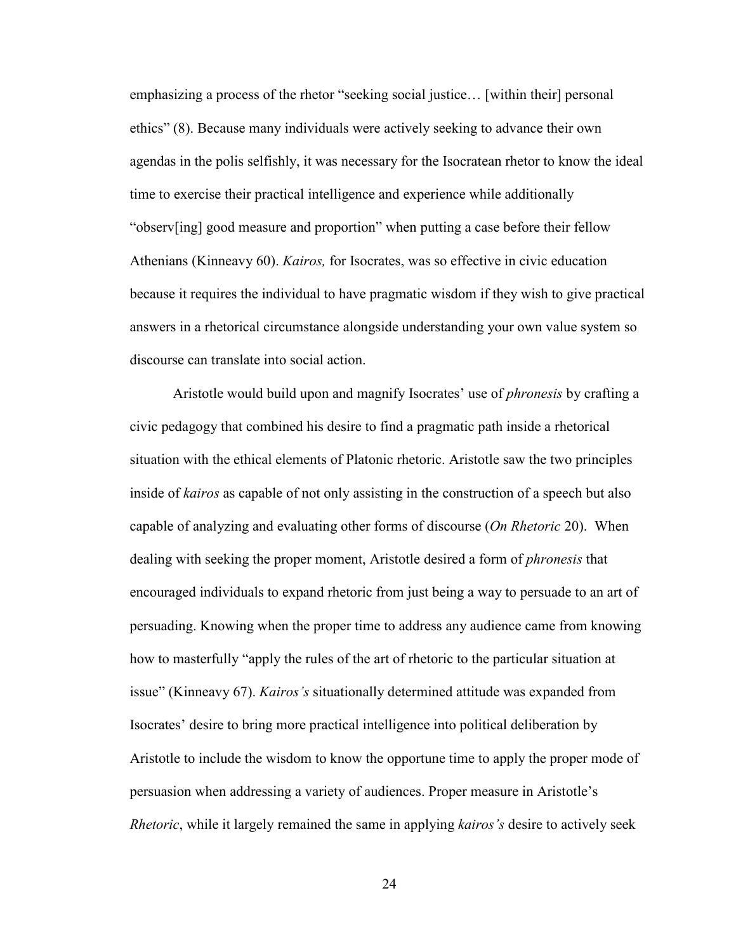emphasizing a process of the rhetor "seeking social justice… [within their] personal ethics" (8). Because many individuals were actively seeking to advance their own agendas in the polis selfishly, it was necessary for the Isocratean rhetor to know the ideal time to exercise their practical intelligence and experience while additionally "observ[ing] good measure and proportion" when putting a case before their fellow Athenians (Kinneavy 60). *Kairos,* for Isocrates, was so effective in civic education because it requires the individual to have pragmatic wisdom if they wish to give practical answers in a rhetorical circumstance alongside understanding your own value system so discourse can translate into social action.

Aristotle would build upon and magnify Isocrates' use of *phronesis* by crafting a civic pedagogy that combined his desire to find a pragmatic path inside a rhetorical situation with the ethical elements of Platonic rhetoric. Aristotle saw the two principles inside of *kairos* as capable of not only assisting in the construction of a speech but also capable of analyzing and evaluating other forms of discourse (*On Rhetoric* 20). When dealing with seeking the proper moment, Aristotle desired a form of *phronesis* that encouraged individuals to expand rhetoric from just being a way to persuade to an art of persuading. Knowing when the proper time to address any audience came from knowing how to masterfully "apply the rules of the art of rhetoric to the particular situation at issue" (Kinneavy 67). *Kairos's* situationally determined attitude was expanded from Isocrates' desire to bring more practical intelligence into political deliberation by Aristotle to include the wisdom to know the opportune time to apply the proper mode of persuasion when addressing a variety of audiences. Proper measure in Aristotle's *Rhetoric*, while it largely remained the same in applying *kairos's* desire to actively seek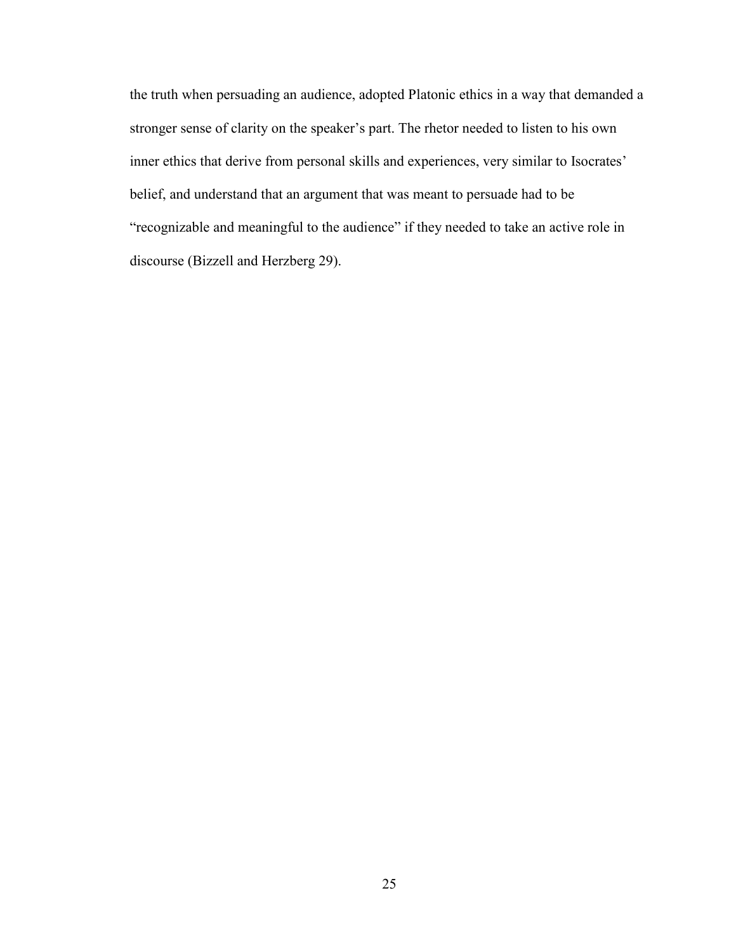the truth when persuading an audience, adopted Platonic ethics in a way that demanded a stronger sense of clarity on the speaker's part. The rhetor needed to listen to his own inner ethics that derive from personal skills and experiences, very similar to Isocrates' belief, and understand that an argument that was meant to persuade had to be "recognizable and meaningful to the audience" if they needed to take an active role in discourse (Bizzell and Herzberg 29).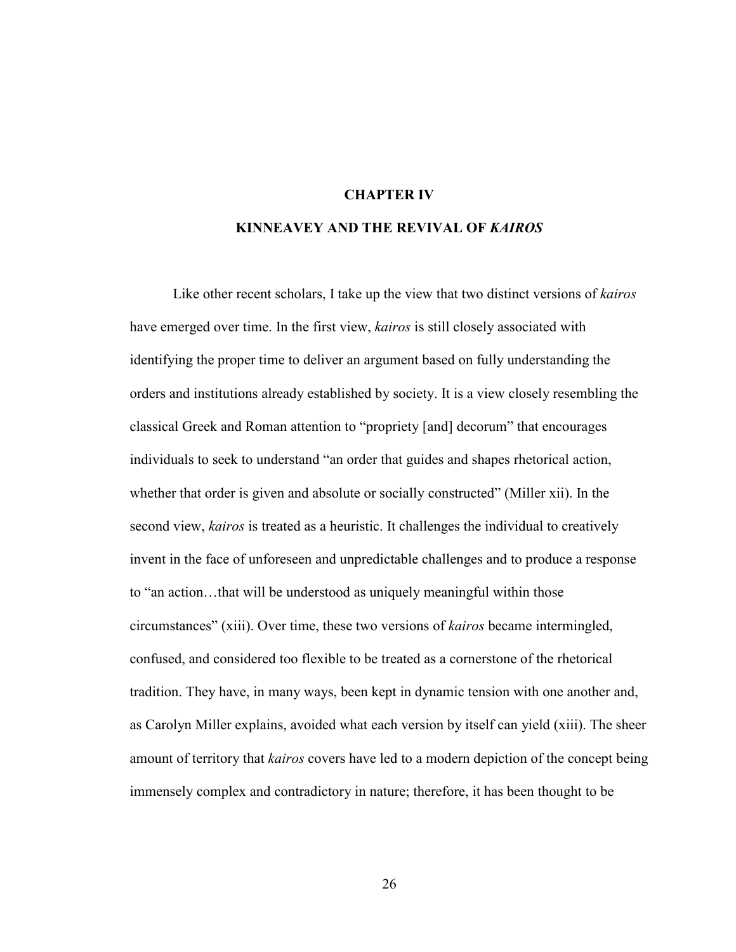#### **CHAPTER IV**

#### **KINNEAVEY AND THE REVIVAL OF** *KAIROS*

Like other recent scholars, I take up the view that two distinct versions of *kairos* have emerged over time. In the first view, *kairos* is still closely associated with identifying the proper time to deliver an argument based on fully understanding the orders and institutions already established by society. It is a view closely resembling the classical Greek and Roman attention to "propriety [and] decorum" that encourages individuals to seek to understand "an order that guides and shapes rhetorical action, whether that order is given and absolute or socially constructed" (Miller xii). In the second view, *kairos* is treated as a heuristic. It challenges the individual to creatively invent in the face of unforeseen and unpredictable challenges and to produce a response to "an action…that will be understood as uniquely meaningful within those circumstances" (xiii). Over time, these two versions of *kairos* became intermingled, confused, and considered too flexible to be treated as a cornerstone of the rhetorical tradition. They have, in many ways, been kept in dynamic tension with one another and, as Carolyn Miller explains, avoided what each version by itself can yield (xiii). The sheer amount of territory that *kairos* covers have led to a modern depiction of the concept being immensely complex and contradictory in nature; therefore, it has been thought to be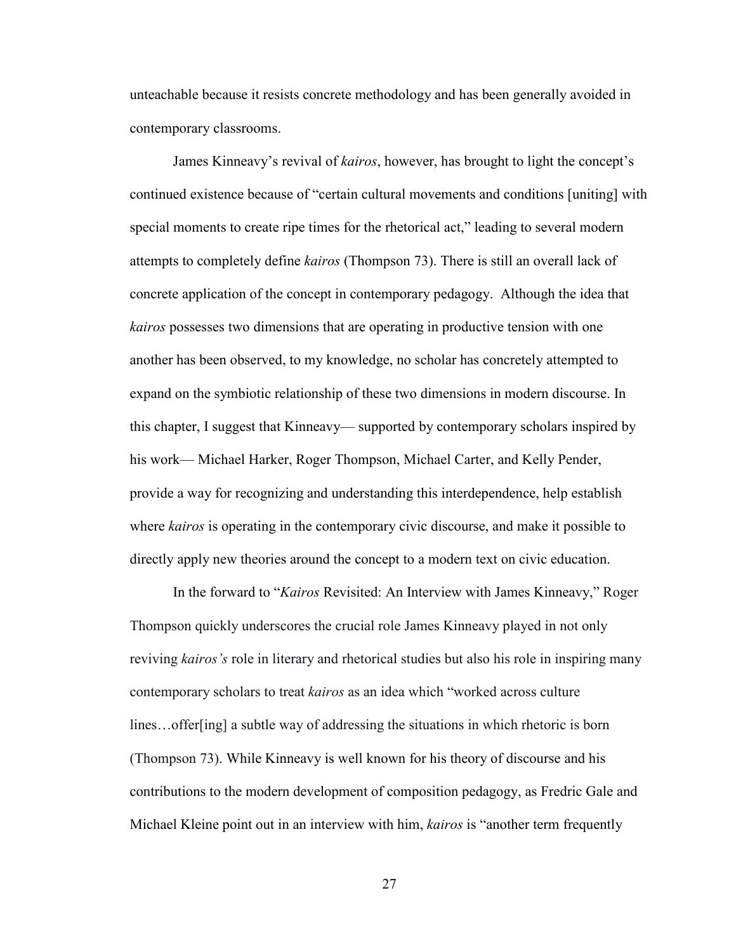unteachable because it resists concrete methodology and has been generally avoided in contemporary classrooms.

James Kinneavy's revival of *kairos*, however, has brought to light the concept's continued existence because of "certain cultural movements and conditions [uniting] with special moments to create ripe times for the rhetorical act," leading to several modern attempts to completely define *kairos* (Thompson 73). There is still an overall lack of concrete application of the concept in contemporary pedagogy. Although the idea that *kairos* possesses two dimensions that are operating in productive tension with one another has been observed, to my knowledge, no scholar has concretely attempted to expand on the symbiotic relationship of these two dimensions in modern discourse. In this chapter, I suggest that Kinneavy— supported by contemporary scholars inspired by his work— Michael Harker, Roger Thompson, Michael Carter, and Kelly Pender, provide a way for recognizing and understanding this interdependence, help establish where *kairos* is operating in the contemporary civic discourse, and make it possible to directly apply new theories around the concept to a modern text on civic education.

In the forward to "*Kairos* Revisited: An Interview with James Kinneavy," Roger Thompson quickly underscores the crucial role James Kinneavy played in not only reviving *kairos's* role in literary and rhetorical studies but also his role in inspiring many contemporary scholars to treat *kairos* as an idea which "worked across culture lines…offer[ing] a subtle way of addressing the situations in which rhetoric is born (Thompson 73). While Kinneavy is well known for his theory of discourse and his contributions to the modern development of composition pedagogy, as Fredric Gale and Michael Kleine point out in an interview with him, *kairos* is "another term frequently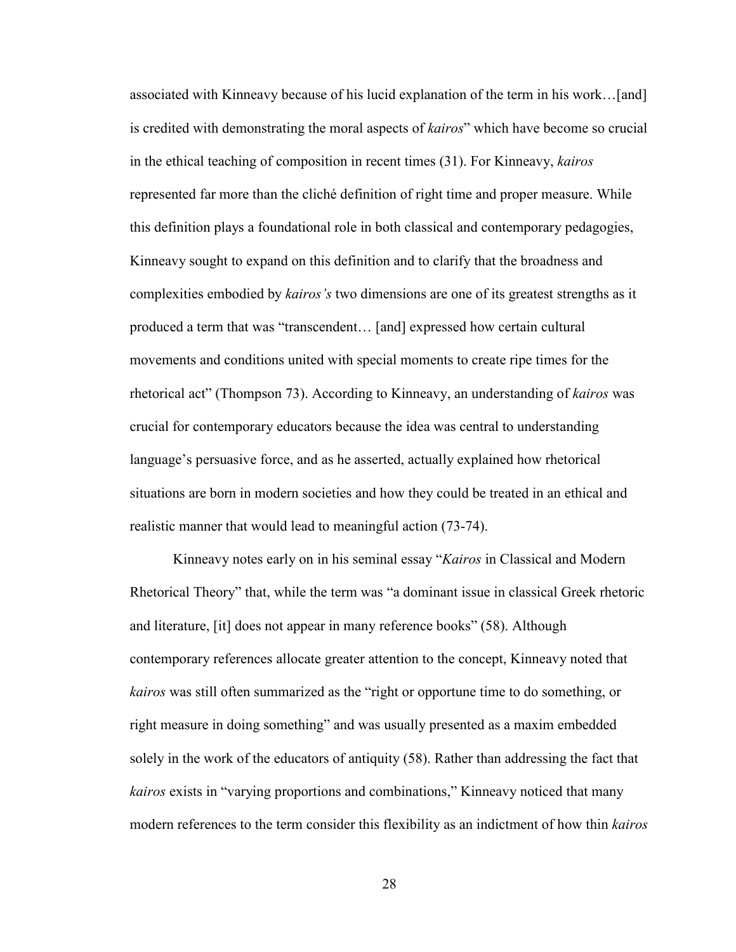associated with Kinneavy because of his lucid explanation of the term in his work…[and] is credited with demonstrating the moral aspects of *kairos*" which have become so crucial in the ethical teaching of composition in recent times (31). For Kinneavy, *kairos*  represented far more than the cliché definition of right time and proper measure. While this definition plays a foundational role in both classical and contemporary pedagogies, Kinneavy sought to expand on this definition and to clarify that the broadness and complexities embodied by *kairos's* two dimensions are one of its greatest strengths as it produced a term that was "transcendent… [and] expressed how certain cultural movements and conditions united with special moments to create ripe times for the rhetorical act" (Thompson 73). According to Kinneavy, an understanding of *kairos* was crucial for contemporary educators because the idea was central to understanding language's persuasive force, and as he asserted, actually explained how rhetorical situations are born in modern societies and how they could be treated in an ethical and realistic manner that would lead to meaningful action (73-74).

Kinneavy notes early on in his seminal essay "*Kairos* in Classical and Modern Rhetorical Theory" that, while the term was "a dominant issue in classical Greek rhetoric and literature, [it] does not appear in many reference books" (58). Although contemporary references allocate greater attention to the concept, Kinneavy noted that *kairos* was still often summarized as the "right or opportune time to do something, or right measure in doing something" and was usually presented as a maxim embedded solely in the work of the educators of antiquity (58). Rather than addressing the fact that *kairos* exists in "varying proportions and combinations," Kinneavy noticed that many modern references to the term consider this flexibility as an indictment of how thin *kairos*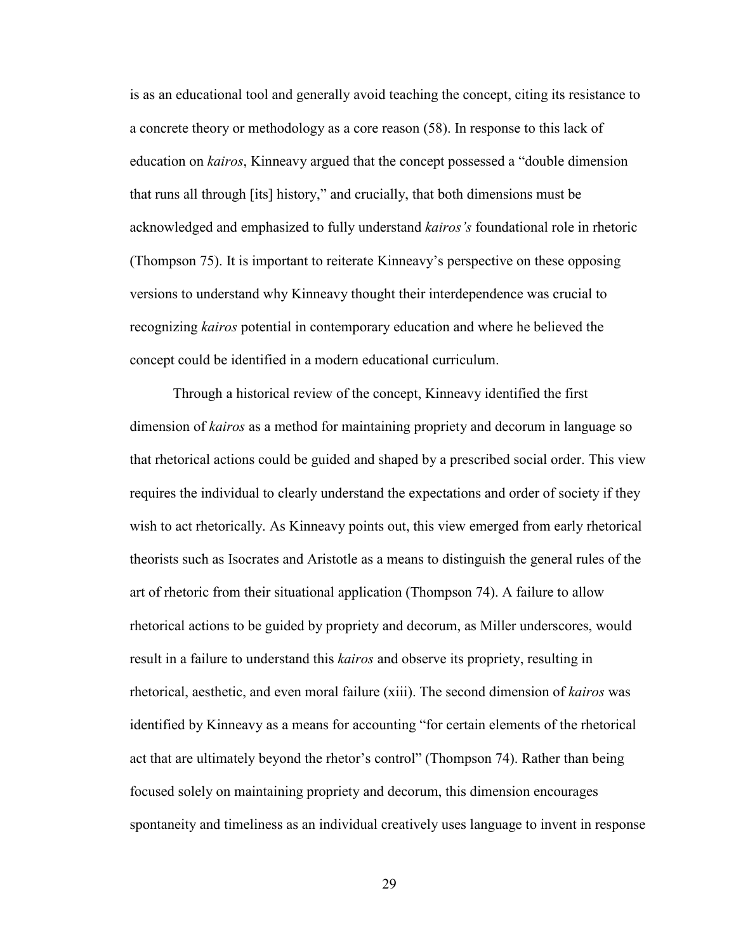is as an educational tool and generally avoid teaching the concept, citing its resistance to a concrete theory or methodology as a core reason (58). In response to this lack of education on *kairos*, Kinneavy argued that the concept possessed a "double dimension that runs all through [its] history," and crucially, that both dimensions must be acknowledged and emphasized to fully understand *kairos's* foundational role in rhetoric (Thompson 75). It is important to reiterate Kinneavy's perspective on these opposing versions to understand why Kinneavy thought their interdependence was crucial to recognizing *kairos* potential in contemporary education and where he believed the concept could be identified in a modern educational curriculum.

Through a historical review of the concept, Kinneavy identified the first dimension of *kairos* as a method for maintaining propriety and decorum in language so that rhetorical actions could be guided and shaped by a prescribed social order. This view requires the individual to clearly understand the expectations and order of society if they wish to act rhetorically. As Kinneavy points out, this view emerged from early rhetorical theorists such as Isocrates and Aristotle as a means to distinguish the general rules of the art of rhetoric from their situational application (Thompson 74). A failure to allow rhetorical actions to be guided by propriety and decorum, as Miller underscores, would result in a failure to understand this *kairos* and observe its propriety, resulting in rhetorical, aesthetic, and even moral failure (xiii). The second dimension of *kairos* was identified by Kinneavy as a means for accounting "for certain elements of the rhetorical act that are ultimately beyond the rhetor's control" (Thompson 74). Rather than being focused solely on maintaining propriety and decorum, this dimension encourages spontaneity and timeliness as an individual creatively uses language to invent in response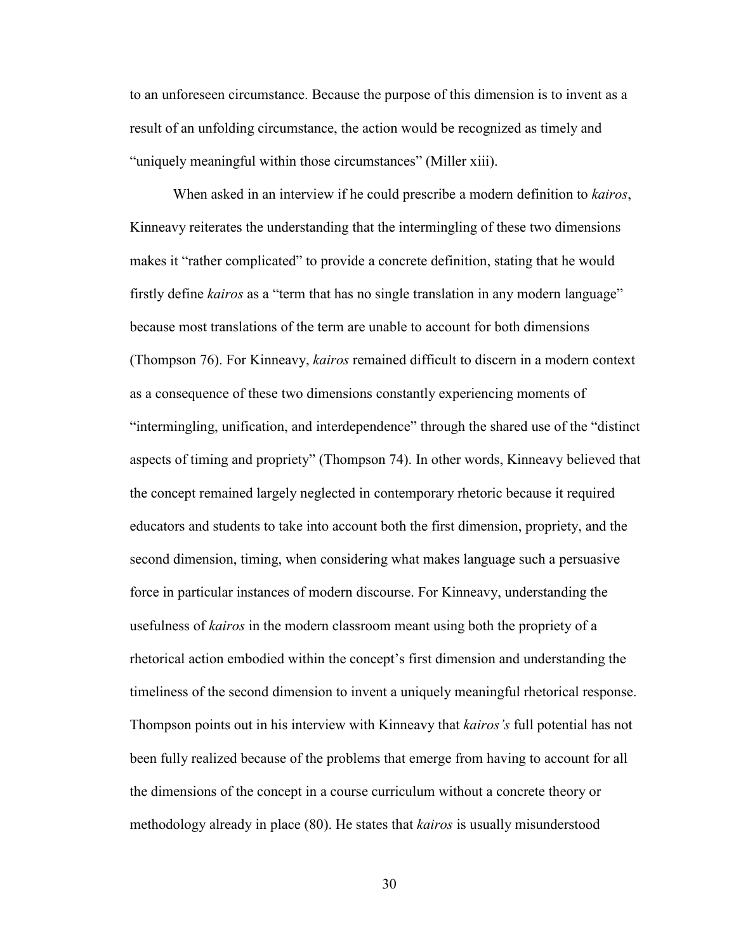to an unforeseen circumstance. Because the purpose of this dimension is to invent as a result of an unfolding circumstance, the action would be recognized as timely and "uniquely meaningful within those circumstances" (Miller xiii).

When asked in an interview if he could prescribe a modern definition to *kairos*, Kinneavy reiterates the understanding that the intermingling of these two dimensions makes it "rather complicated" to provide a concrete definition, stating that he would firstly define *kairos* as a "term that has no single translation in any modern language" because most translations of the term are unable to account for both dimensions (Thompson 76). For Kinneavy, *kairos* remained difficult to discern in a modern context as a consequence of these two dimensions constantly experiencing moments of "intermingling, unification, and interdependence" through the shared use of the "distinct aspects of timing and propriety" (Thompson 74). In other words, Kinneavy believed that the concept remained largely neglected in contemporary rhetoric because it required educators and students to take into account both the first dimension, propriety, and the second dimension, timing, when considering what makes language such a persuasive force in particular instances of modern discourse. For Kinneavy, understanding the usefulness of *kairos* in the modern classroom meant using both the propriety of a rhetorical action embodied within the concept's first dimension and understanding the timeliness of the second dimension to invent a uniquely meaningful rhetorical response. Thompson points out in his interview with Kinneavy that *kairos's* full potential has not been fully realized because of the problems that emerge from having to account for all the dimensions of the concept in a course curriculum without a concrete theory or methodology already in place (80). He states that *kairos* is usually misunderstood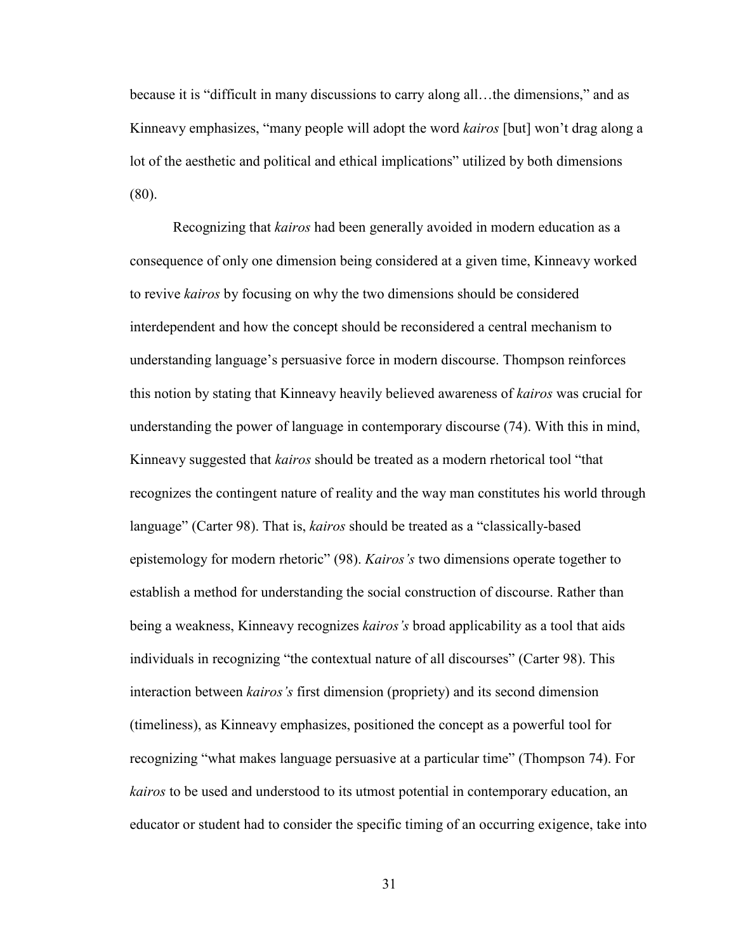because it is "difficult in many discussions to carry along all…the dimensions," and as Kinneavy emphasizes, "many people will adopt the word *kairos* [but] won't drag along a lot of the aesthetic and political and ethical implications" utilized by both dimensions (80).

Recognizing that *kairos* had been generally avoided in modern education as a consequence of only one dimension being considered at a given time, Kinneavy worked to revive *kairos* by focusing on why the two dimensions should be considered interdependent and how the concept should be reconsidered a central mechanism to understanding language's persuasive force in modern discourse. Thompson reinforces this notion by stating that Kinneavy heavily believed awareness of *kairos* was crucial for understanding the power of language in contemporary discourse (74). With this in mind, Kinneavy suggested that *kairos* should be treated as a modern rhetorical tool "that recognizes the contingent nature of reality and the way man constitutes his world through language" (Carter 98). That is, *kairos* should be treated as a "classically-based epistemology for modern rhetoric" (98). *Kairos's* two dimensions operate together to establish a method for understanding the social construction of discourse. Rather than being a weakness, Kinneavy recognizes *kairos's* broad applicability as a tool that aids individuals in recognizing "the contextual nature of all discourses" (Carter 98). This interaction between *kairos's* first dimension (propriety) and its second dimension (timeliness), as Kinneavy emphasizes, positioned the concept as a powerful tool for recognizing "what makes language persuasive at a particular time" (Thompson 74). For *kairos* to be used and understood to its utmost potential in contemporary education, an educator or student had to consider the specific timing of an occurring exigence, take into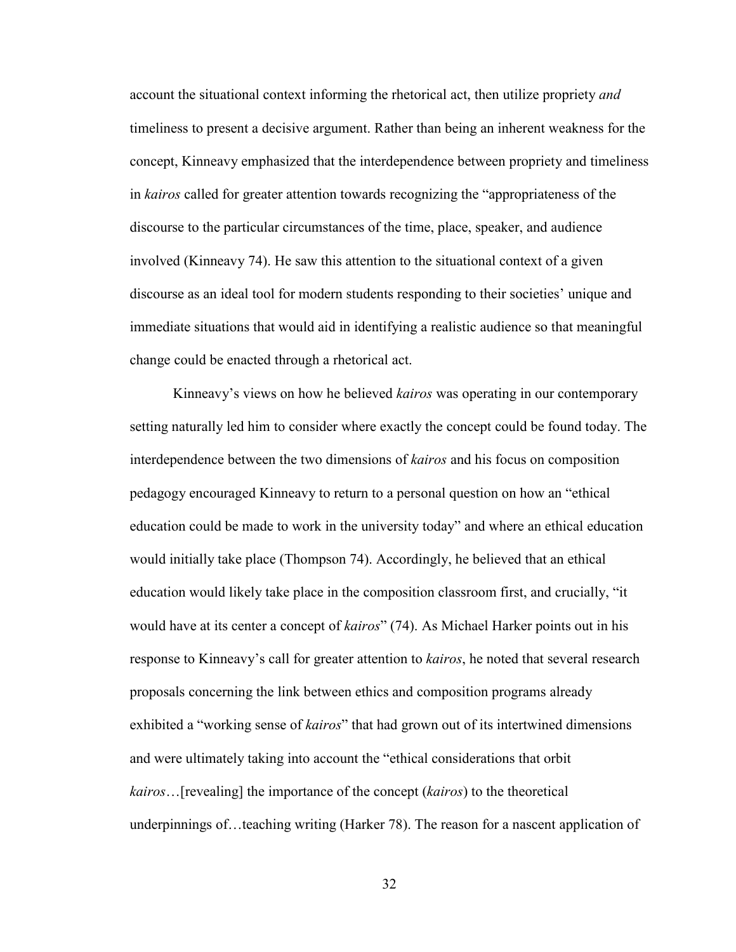account the situational context informing the rhetorical act, then utilize propriety *and* timeliness to present a decisive argument. Rather than being an inherent weakness for the concept, Kinneavy emphasized that the interdependence between propriety and timeliness in *kairos* called for greater attention towards recognizing the "appropriateness of the discourse to the particular circumstances of the time, place, speaker, and audience involved (Kinneavy 74). He saw this attention to the situational context of a given discourse as an ideal tool for modern students responding to their societies' unique and immediate situations that would aid in identifying a realistic audience so that meaningful change could be enacted through a rhetorical act.

Kinneavy's views on how he believed *kairos* was operating in our contemporary setting naturally led him to consider where exactly the concept could be found today. The interdependence between the two dimensions of *kairos* and his focus on composition pedagogy encouraged Kinneavy to return to a personal question on how an "ethical education could be made to work in the university today" and where an ethical education would initially take place (Thompson 74). Accordingly, he believed that an ethical education would likely take place in the composition classroom first, and crucially, "it would have at its center a concept of *kairos*" (74). As Michael Harker points out in his response to Kinneavy's call for greater attention to *kairos*, he noted that several research proposals concerning the link between ethics and composition programs already exhibited a "working sense of *kairos*" that had grown out of its intertwined dimensions and were ultimately taking into account the "ethical considerations that orbit *kairos*…[revealing] the importance of the concept (*kairos*) to the theoretical underpinnings of…teaching writing (Harker 78). The reason for a nascent application of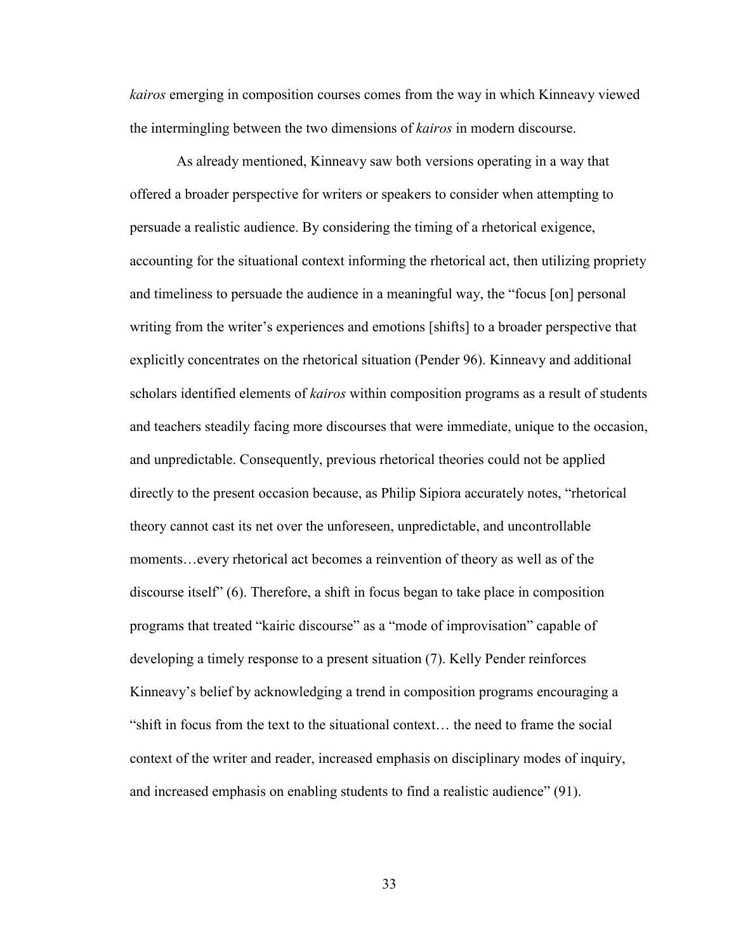*kairos* emerging in composition courses comes from the way in which Kinneavy viewed the intermingling between the two dimensions of *kairos* in modern discourse.

 As already mentioned, Kinneavy saw both versions operating in a way that offered a broader perspective for writers or speakers to consider when attempting to persuade a realistic audience. By considering the timing of a rhetorical exigence, accounting for the situational context informing the rhetorical act, then utilizing propriety and timeliness to persuade the audience in a meaningful way, the "focus [on] personal writing from the writer's experiences and emotions [shifts] to a broader perspective that explicitly concentrates on the rhetorical situation (Pender 96). Kinneavy and additional scholars identified elements of *kairos* within composition programs as a result of students and teachers steadily facing more discourses that were immediate, unique to the occasion, and unpredictable. Consequently, previous rhetorical theories could not be applied directly to the present occasion because, as Philip Sipiora accurately notes, "rhetorical theory cannot cast its net over the unforeseen, unpredictable, and uncontrollable moments…every rhetorical act becomes a reinvention of theory as well as of the discourse itself" (6). Therefore, a shift in focus began to take place in composition programs that treated "kairic discourse" as a "mode of improvisation" capable of developing a timely response to a present situation (7). Kelly Pender reinforces Kinneavy's belief by acknowledging a trend in composition programs encouraging a "shift in focus from the text to the situational context… the need to frame the social context of the writer and reader, increased emphasis on disciplinary modes of inquiry, and increased emphasis on enabling students to find a realistic audience" (91).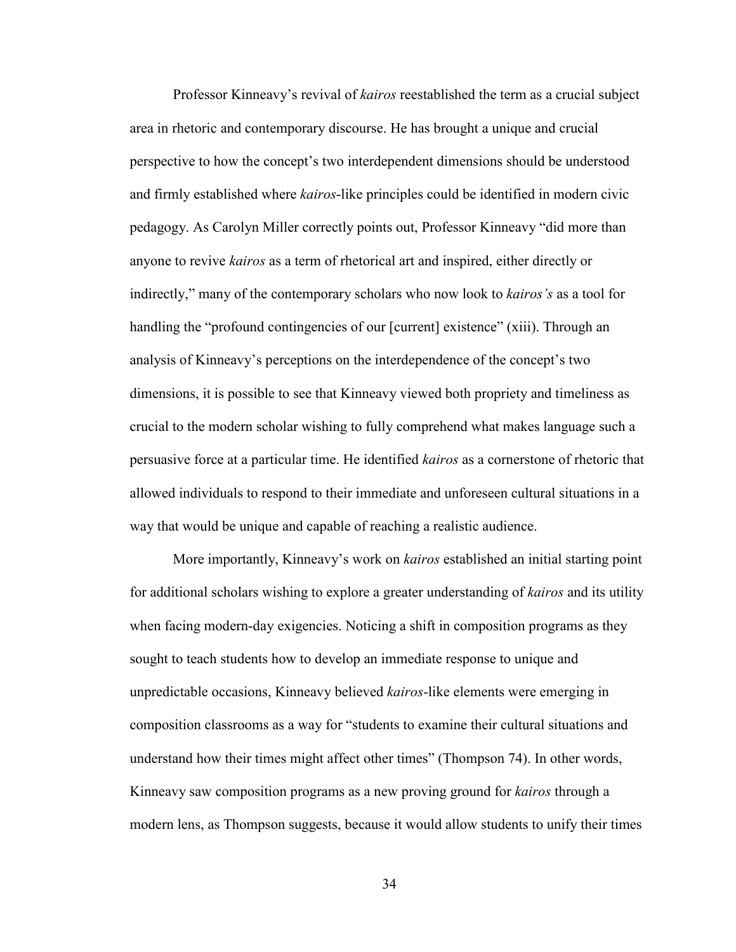Professor Kinneavy's revival of *kairos* reestablished the term as a crucial subject area in rhetoric and contemporary discourse. He has brought a unique and crucial perspective to how the concept's two interdependent dimensions should be understood and firmly established where *kairos*-like principles could be identified in modern civic pedagogy. As Carolyn Miller correctly points out, Professor Kinneavy "did more than anyone to revive *kairos* as a term of rhetorical art and inspired, either directly or indirectly," many of the contemporary scholars who now look to *kairos's* as a tool for handling the "profound contingencies of our [current] existence" (xiii). Through an analysis of Kinneavy's perceptions on the interdependence of the concept's two dimensions, it is possible to see that Kinneavy viewed both propriety and timeliness as crucial to the modern scholar wishing to fully comprehend what makes language such a persuasive force at a particular time. He identified *kairos* as a cornerstone of rhetoric that allowed individuals to respond to their immediate and unforeseen cultural situations in a way that would be unique and capable of reaching a realistic audience.

More importantly, Kinneavy's work on *kairos* established an initial starting point for additional scholars wishing to explore a greater understanding of *kairos* and its utility when facing modern-day exigencies. Noticing a shift in composition programs as they sought to teach students how to develop an immediate response to unique and unpredictable occasions, Kinneavy believed *kairos*-like elements were emerging in composition classrooms as a way for "students to examine their cultural situations and understand how their times might affect other times" (Thompson 74). In other words, Kinneavy saw composition programs as a new proving ground for *kairos* through a modern lens, as Thompson suggests, because it would allow students to unify their times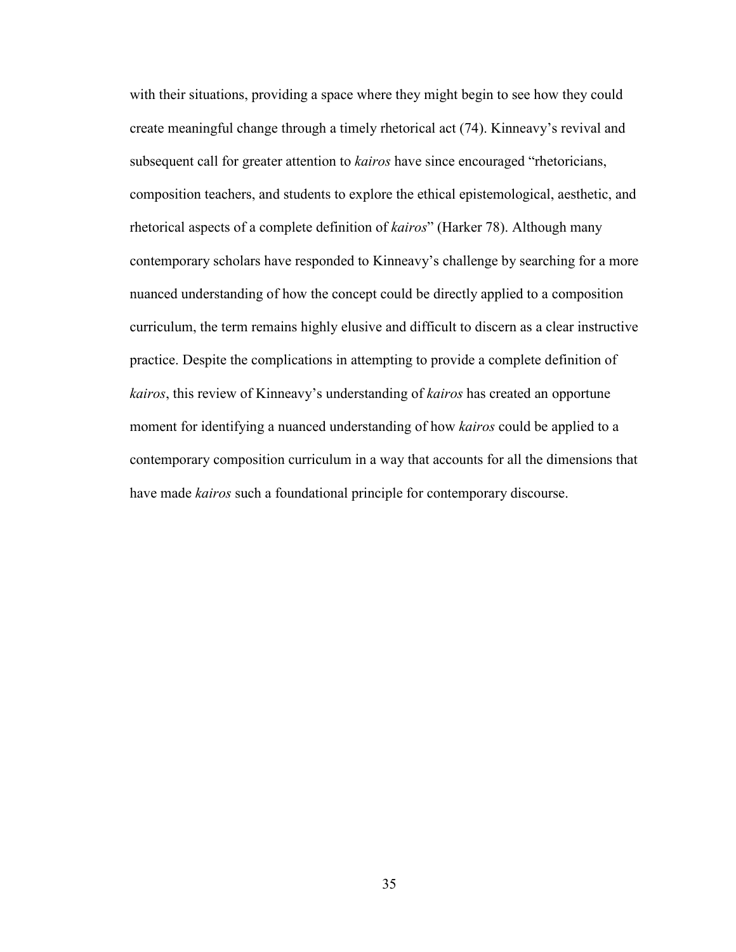with their situations, providing a space where they might begin to see how they could create meaningful change through a timely rhetorical act (74). Kinneavy's revival and subsequent call for greater attention to *kairos* have since encouraged "rhetoricians, composition teachers, and students to explore the ethical epistemological, aesthetic, and rhetorical aspects of a complete definition of *kairos*" (Harker 78). Although many contemporary scholars have responded to Kinneavy's challenge by searching for a more nuanced understanding of how the concept could be directly applied to a composition curriculum, the term remains highly elusive and difficult to discern as a clear instructive practice. Despite the complications in attempting to provide a complete definition of *kairos*, this review of Kinneavy's understanding of *kairos* has created an opportune moment for identifying a nuanced understanding of how *kairos* could be applied to a contemporary composition curriculum in a way that accounts for all the dimensions that have made *kairos* such a foundational principle for contemporary discourse.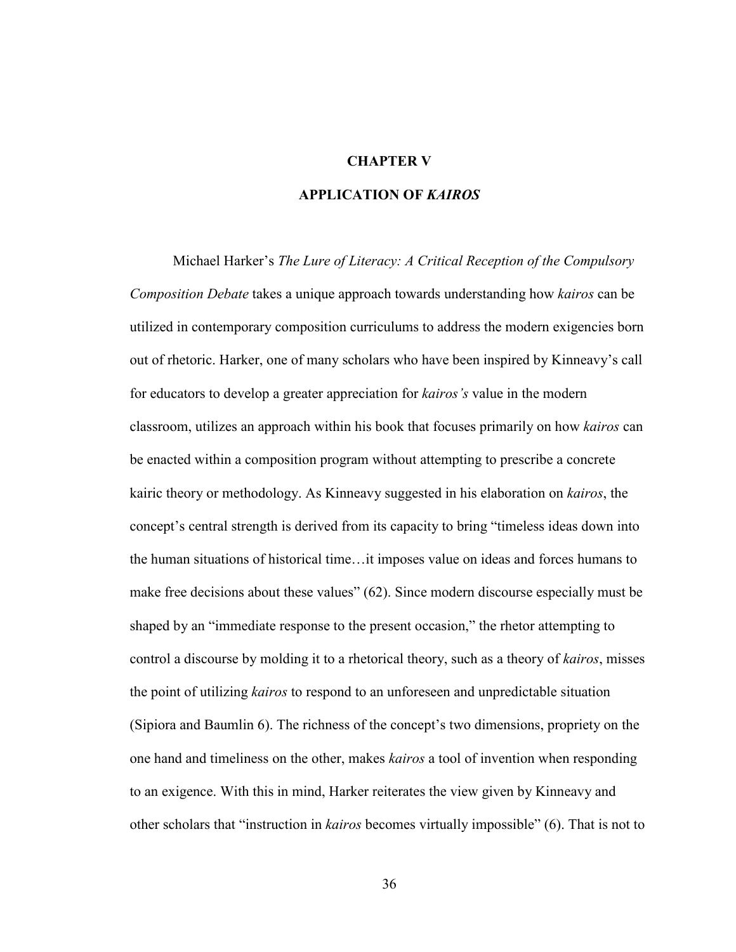#### **CHAPTER V**

## **APPLICATION OF** *KAIROS*

Michael Harker's *The Lure of Literacy: A Critical Reception of the Compulsory Composition Debate* takes a unique approach towards understanding how *kairos* can be utilized in contemporary composition curriculums to address the modern exigencies born out of rhetoric. Harker, one of many scholars who have been inspired by Kinneavy's call for educators to develop a greater appreciation for *kairos's* value in the modern classroom, utilizes an approach within his book that focuses primarily on how *kairos* can be enacted within a composition program without attempting to prescribe a concrete kairic theory or methodology. As Kinneavy suggested in his elaboration on *kairos*, the concept's central strength is derived from its capacity to bring "timeless ideas down into the human situations of historical time…it imposes value on ideas and forces humans to make free decisions about these values" (62). Since modern discourse especially must be shaped by an "immediate response to the present occasion," the rhetor attempting to control a discourse by molding it to a rhetorical theory, such as a theory of *kairos*, misses the point of utilizing *kairos* to respond to an unforeseen and unpredictable situation (Sipiora and Baumlin 6). The richness of the concept's two dimensions, propriety on the one hand and timeliness on the other, makes *kairos* a tool of invention when responding to an exigence. With this in mind, Harker reiterates the view given by Kinneavy and other scholars that "instruction in *kairos* becomes virtually impossible" (6). That is not to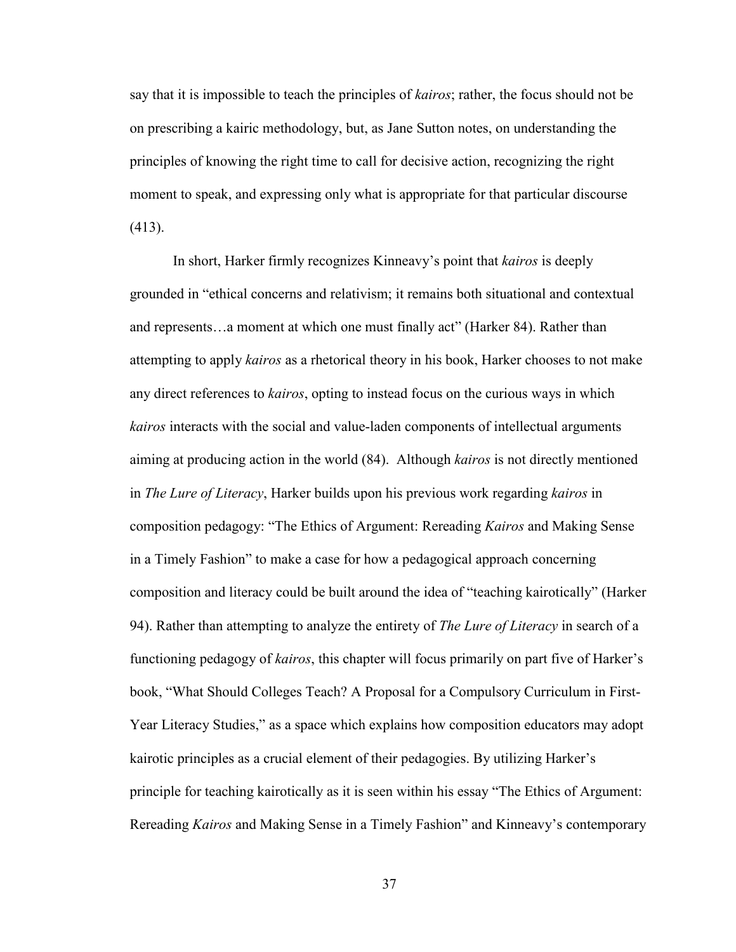say that it is impossible to teach the principles of *kairos*; rather, the focus should not be on prescribing a kairic methodology, but, as Jane Sutton notes, on understanding the principles of knowing the right time to call for decisive action, recognizing the right moment to speak, and expressing only what is appropriate for that particular discourse (413).

In short, Harker firmly recognizes Kinneavy's point that *kairos* is deeply grounded in "ethical concerns and relativism; it remains both situational and contextual and represents…a moment at which one must finally act" (Harker 84). Rather than attempting to apply *kairos* as a rhetorical theory in his book, Harker chooses to not make any direct references to *kairos*, opting to instead focus on the curious ways in which *kairos* interacts with the social and value-laden components of intellectual arguments aiming at producing action in the world (84). Although *kairos* is not directly mentioned in *The Lure of Literacy*, Harker builds upon his previous work regarding *kairos* in composition pedagogy: "The Ethics of Argument: Rereading *Kairos* and Making Sense in a Timely Fashion" to make a case for how a pedagogical approach concerning composition and literacy could be built around the idea of "teaching kairotically" (Harker 94). Rather than attempting to analyze the entirety of *The Lure of Literacy* in search of a functioning pedagogy of *kairos*, this chapter will focus primarily on part five of Harker's book, "What Should Colleges Teach? A Proposal for a Compulsory Curriculum in First-Year Literacy Studies," as a space which explains how composition educators may adopt kairotic principles as a crucial element of their pedagogies. By utilizing Harker's principle for teaching kairotically as it is seen within his essay "The Ethics of Argument: Rereading *Kairos* and Making Sense in a Timely Fashion" and Kinneavy's contemporary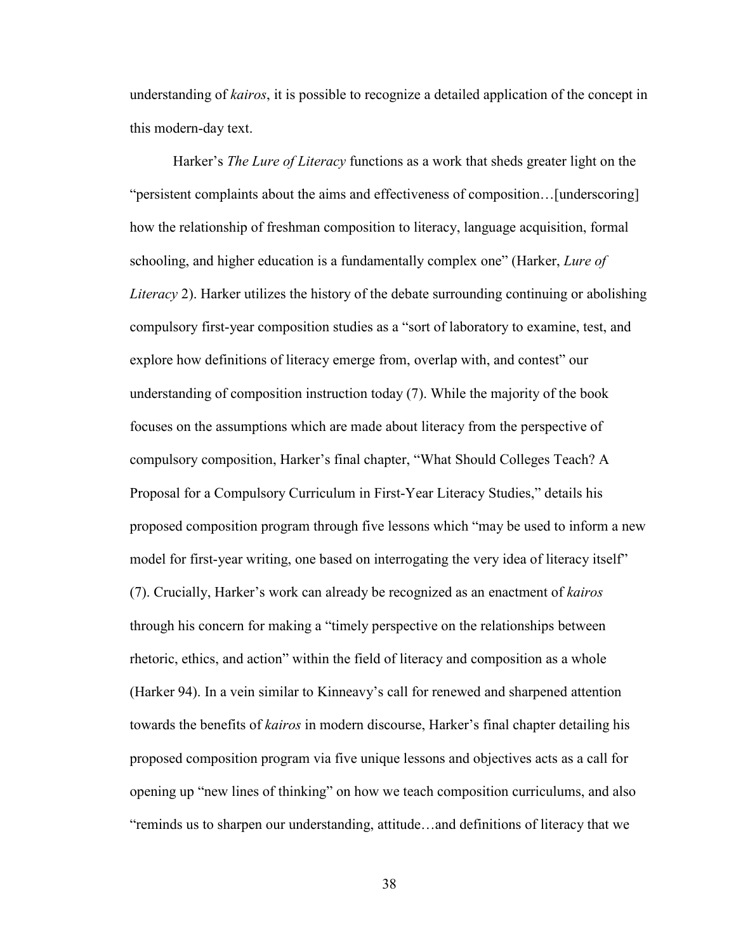understanding of *kairos*, it is possible to recognize a detailed application of the concept in this modern-day text.

Harker's *The Lure of Literacy* functions as a work that sheds greater light on the "persistent complaints about the aims and effectiveness of composition…[underscoring] how the relationship of freshman composition to literacy, language acquisition, formal schooling, and higher education is a fundamentally complex one" (Harker, *Lure of Literacy* 2). Harker utilizes the history of the debate surrounding continuing or abolishing compulsory first-year composition studies as a "sort of laboratory to examine, test, and explore how definitions of literacy emerge from, overlap with, and contest" our understanding of composition instruction today (7). While the majority of the book focuses on the assumptions which are made about literacy from the perspective of compulsory composition, Harker's final chapter, "What Should Colleges Teach? A Proposal for a Compulsory Curriculum in First-Year Literacy Studies," details his proposed composition program through five lessons which "may be used to inform a new model for first-year writing, one based on interrogating the very idea of literacy itself" (7). Crucially, Harker's work can already be recognized as an enactment of *kairos*  through his concern for making a "timely perspective on the relationships between rhetoric, ethics, and action" within the field of literacy and composition as a whole (Harker 94). In a vein similar to Kinneavy's call for renewed and sharpened attention towards the benefits of *kairos* in modern discourse, Harker's final chapter detailing his proposed composition program via five unique lessons and objectives acts as a call for opening up "new lines of thinking" on how we teach composition curriculums, and also "reminds us to sharpen our understanding, attitude…and definitions of literacy that we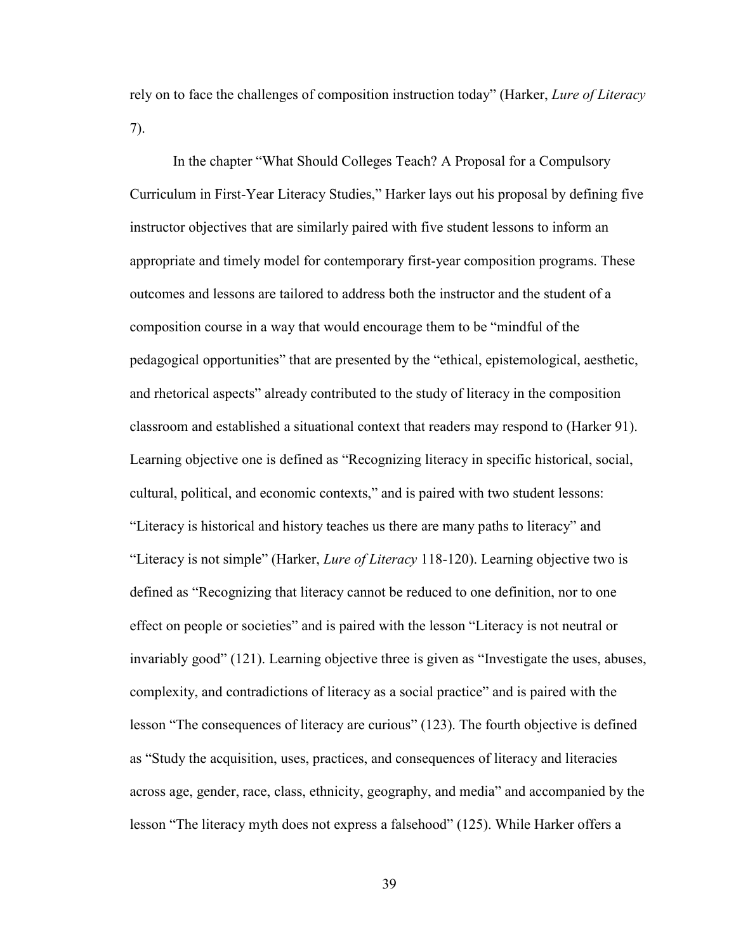rely on to face the challenges of composition instruction today" (Harker, *Lure of Literacy*  7).

In the chapter "What Should Colleges Teach? A Proposal for a Compulsory Curriculum in First-Year Literacy Studies," Harker lays out his proposal by defining five instructor objectives that are similarly paired with five student lessons to inform an appropriate and timely model for contemporary first-year composition programs. These outcomes and lessons are tailored to address both the instructor and the student of a composition course in a way that would encourage them to be "mindful of the pedagogical opportunities" that are presented by the "ethical, epistemological, aesthetic, and rhetorical aspects" already contributed to the study of literacy in the composition classroom and established a situational context that readers may respond to (Harker 91). Learning objective one is defined as "Recognizing literacy in specific historical, social, cultural, political, and economic contexts," and is paired with two student lessons: "Literacy is historical and history teaches us there are many paths to literacy" and "Literacy is not simple" (Harker, *Lure of Literacy* 118-120). Learning objective two is defined as "Recognizing that literacy cannot be reduced to one definition, nor to one effect on people or societies" and is paired with the lesson "Literacy is not neutral or invariably good" (121). Learning objective three is given as "Investigate the uses, abuses, complexity, and contradictions of literacy as a social practice" and is paired with the lesson "The consequences of literacy are curious" (123). The fourth objective is defined as "Study the acquisition, uses, practices, and consequences of literacy and literacies across age, gender, race, class, ethnicity, geography, and media" and accompanied by the lesson "The literacy myth does not express a falsehood" (125). While Harker offers a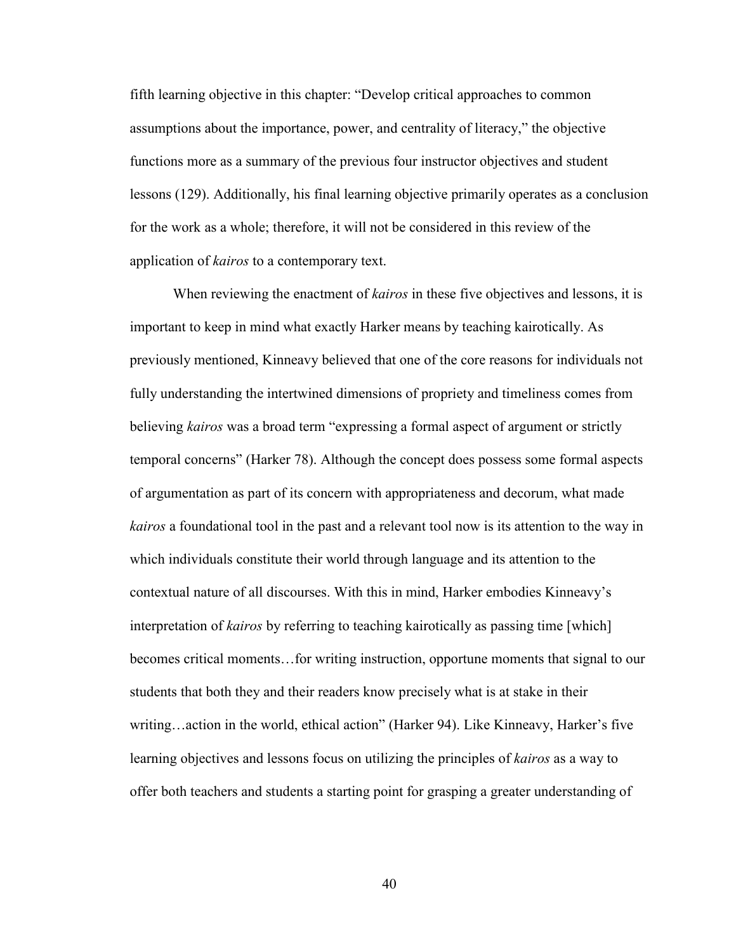fifth learning objective in this chapter: "Develop critical approaches to common assumptions about the importance, power, and centrality of literacy," the objective functions more as a summary of the previous four instructor objectives and student lessons (129). Additionally, his final learning objective primarily operates as a conclusion for the work as a whole; therefore, it will not be considered in this review of the application of *kairos* to a contemporary text.

When reviewing the enactment of *kairos* in these five objectives and lessons, it is important to keep in mind what exactly Harker means by teaching kairotically. As previously mentioned, Kinneavy believed that one of the core reasons for individuals not fully understanding the intertwined dimensions of propriety and timeliness comes from believing *kairos* was a broad term "expressing a formal aspect of argument or strictly temporal concerns" (Harker 78). Although the concept does possess some formal aspects of argumentation as part of its concern with appropriateness and decorum, what made *kairos* a foundational tool in the past and a relevant tool now is its attention to the way in which individuals constitute their world through language and its attention to the contextual nature of all discourses. With this in mind, Harker embodies Kinneavy's interpretation of *kairos* by referring to teaching kairotically as passing time [which] becomes critical moments…for writing instruction, opportune moments that signal to our students that both they and their readers know precisely what is at stake in their writing…action in the world, ethical action" (Harker 94). Like Kinneavy, Harker's five learning objectives and lessons focus on utilizing the principles of *kairos* as a way to offer both teachers and students a starting point for grasping a greater understanding of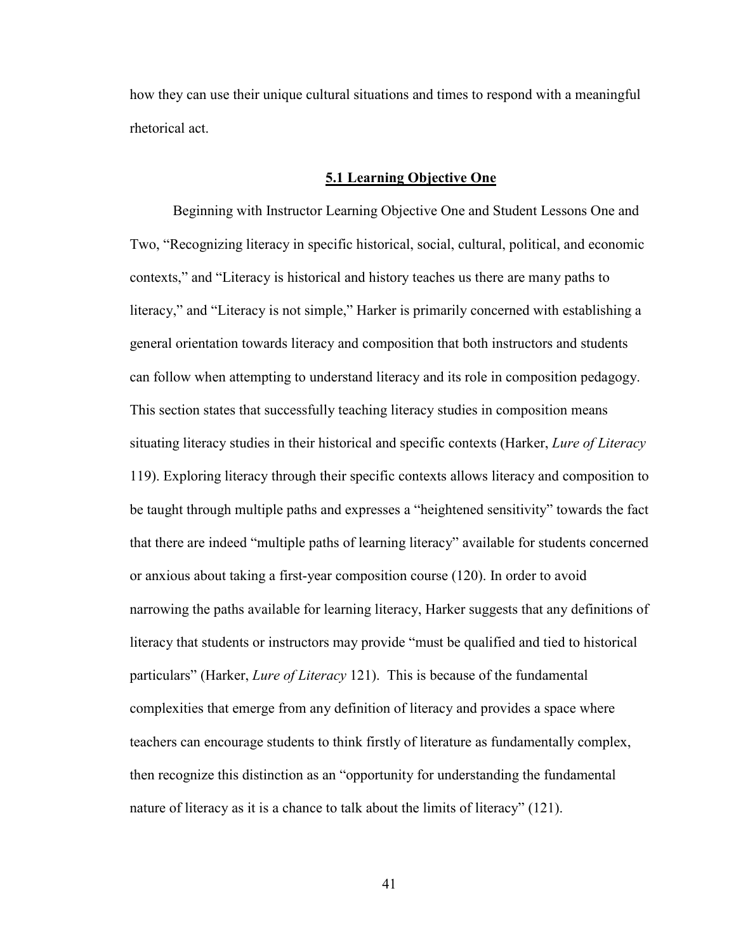how they can use their unique cultural situations and times to respond with a meaningful rhetorical act.

#### **5.1 Learning Objective One**

Beginning with Instructor Learning Objective One and Student Lessons One and Two, "Recognizing literacy in specific historical, social, cultural, political, and economic contexts," and "Literacy is historical and history teaches us there are many paths to literacy," and "Literacy is not simple," Harker is primarily concerned with establishing a general orientation towards literacy and composition that both instructors and students can follow when attempting to understand literacy and its role in composition pedagogy. This section states that successfully teaching literacy studies in composition means situating literacy studies in their historical and specific contexts (Harker, *Lure of Literacy*  119). Exploring literacy through their specific contexts allows literacy and composition to be taught through multiple paths and expresses a "heightened sensitivity" towards the fact that there are indeed "multiple paths of learning literacy" available for students concerned or anxious about taking a first-year composition course (120). In order to avoid narrowing the paths available for learning literacy, Harker suggests that any definitions of literacy that students or instructors may provide "must be qualified and tied to historical particulars" (Harker, *Lure of Literacy* 121). This is because of the fundamental complexities that emerge from any definition of literacy and provides a space where teachers can encourage students to think firstly of literature as fundamentally complex, then recognize this distinction as an "opportunity for understanding the fundamental nature of literacy as it is a chance to talk about the limits of literacy" (121).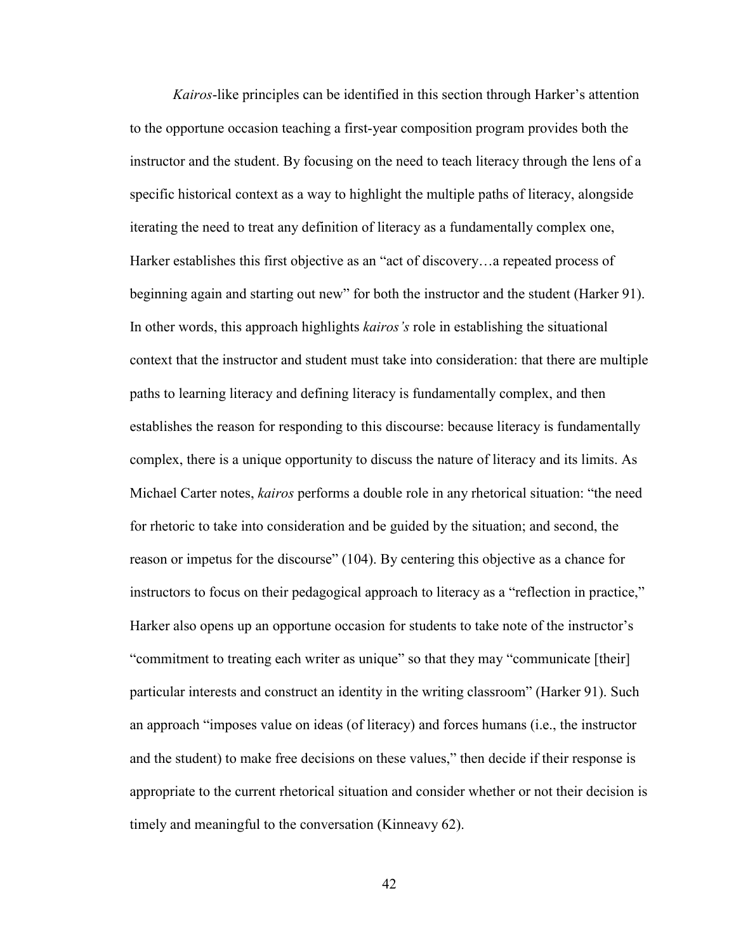*Kairos*-like principles can be identified in this section through Harker's attention to the opportune occasion teaching a first-year composition program provides both the instructor and the student. By focusing on the need to teach literacy through the lens of a specific historical context as a way to highlight the multiple paths of literacy, alongside iterating the need to treat any definition of literacy as a fundamentally complex one, Harker establishes this first objective as an "act of discovery…a repeated process of beginning again and starting out new" for both the instructor and the student (Harker 91). In other words, this approach highlights *kairos's* role in establishing the situational context that the instructor and student must take into consideration: that there are multiple paths to learning literacy and defining literacy is fundamentally complex, and then establishes the reason for responding to this discourse: because literacy is fundamentally complex, there is a unique opportunity to discuss the nature of literacy and its limits. As Michael Carter notes, *kairos* performs a double role in any rhetorical situation: "the need for rhetoric to take into consideration and be guided by the situation; and second, the reason or impetus for the discourse" (104). By centering this objective as a chance for instructors to focus on their pedagogical approach to literacy as a "reflection in practice," Harker also opens up an opportune occasion for students to take note of the instructor's "commitment to treating each writer as unique" so that they may "communicate [their] particular interests and construct an identity in the writing classroom" (Harker 91). Such an approach "imposes value on ideas (of literacy) and forces humans (i.e., the instructor and the student) to make free decisions on these values," then decide if their response is appropriate to the current rhetorical situation and consider whether or not their decision is timely and meaningful to the conversation (Kinneavy 62).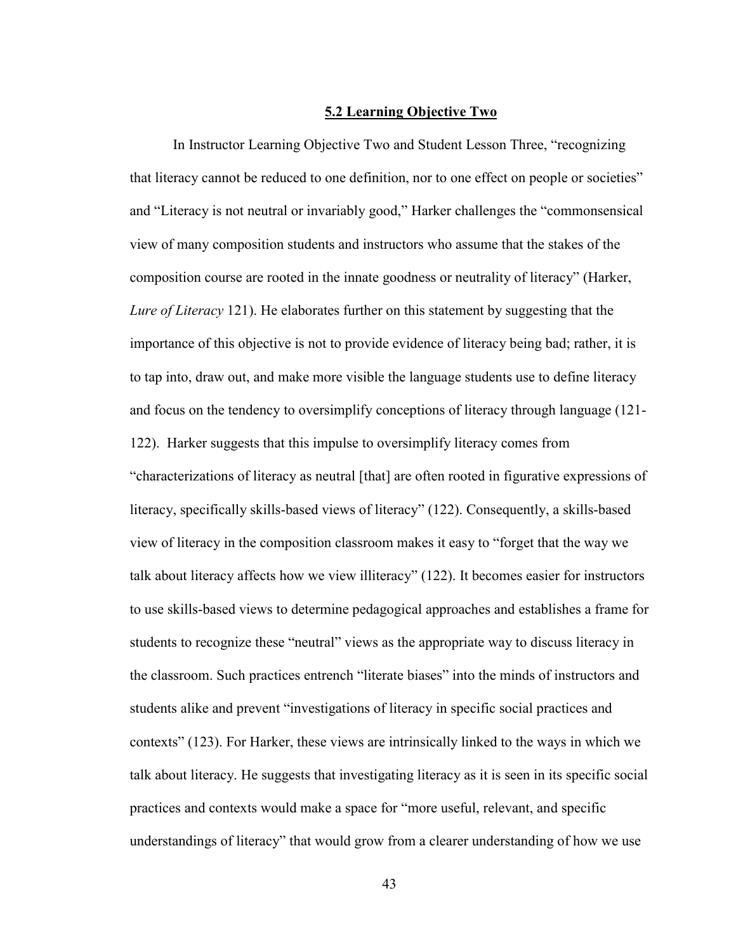#### **5.2 Learning Objective Two**

In Instructor Learning Objective Two and Student Lesson Three, "recognizing that literacy cannot be reduced to one definition, nor to one effect on people or societies" and "Literacy is not neutral or invariably good," Harker challenges the "commonsensical view of many composition students and instructors who assume that the stakes of the composition course are rooted in the innate goodness or neutrality of literacy" (Harker, *Lure of Literacy* 121). He elaborates further on this statement by suggesting that the importance of this objective is not to provide evidence of literacy being bad; rather, it is to tap into, draw out, and make more visible the language students use to define literacy and focus on the tendency to oversimplify conceptions of literacy through language (121- 122). Harker suggests that this impulse to oversimplify literacy comes from "characterizations of literacy as neutral [that] are often rooted in figurative expressions of literacy, specifically skills-based views of literacy" (122). Consequently, a skills-based view of literacy in the composition classroom makes it easy to "forget that the way we talk about literacy affects how we view illiteracy" (122). It becomes easier for instructors to use skills-based views to determine pedagogical approaches and establishes a frame for students to recognize these "neutral" views as the appropriate way to discuss literacy in the classroom. Such practices entrench "literate biases" into the minds of instructors and students alike and prevent "investigations of literacy in specific social practices and contexts" (123). For Harker, these views are intrinsically linked to the ways in which we talk about literacy. He suggests that investigating literacy as it is seen in its specific social practices and contexts would make a space for "more useful, relevant, and specific understandings of literacy" that would grow from a clearer understanding of how we use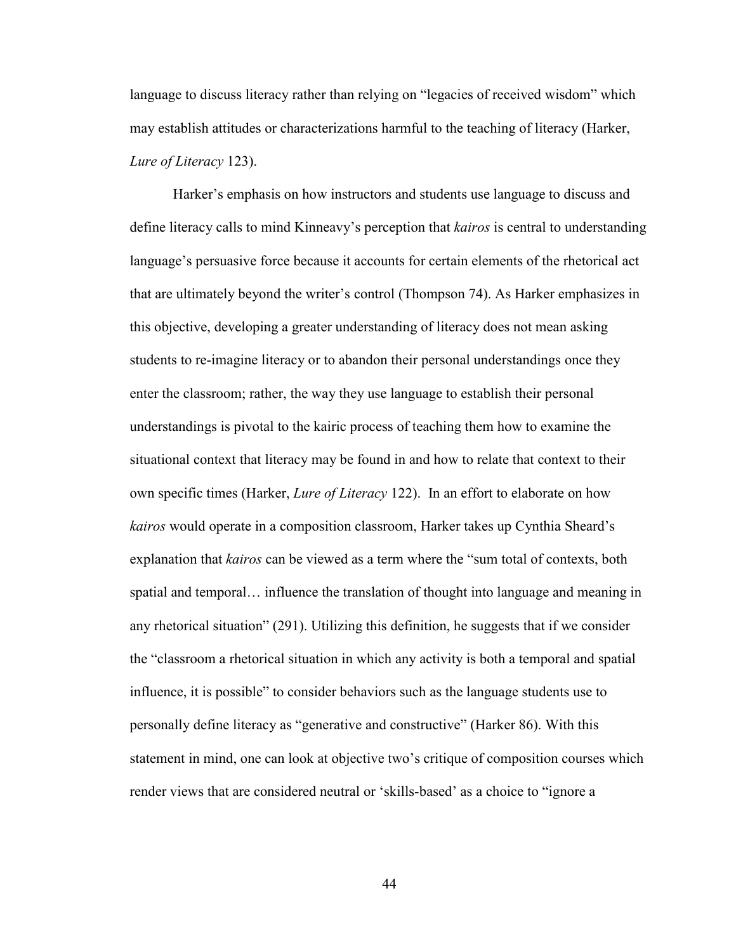language to discuss literacy rather than relying on "legacies of received wisdom" which may establish attitudes or characterizations harmful to the teaching of literacy (Harker, *Lure of Literacy* 123).

Harker's emphasis on how instructors and students use language to discuss and define literacy calls to mind Kinneavy's perception that *kairos* is central to understanding language's persuasive force because it accounts for certain elements of the rhetorical act that are ultimately beyond the writer's control (Thompson 74). As Harker emphasizes in this objective, developing a greater understanding of literacy does not mean asking students to re-imagine literacy or to abandon their personal understandings once they enter the classroom; rather, the way they use language to establish their personal understandings is pivotal to the kairic process of teaching them how to examine the situational context that literacy may be found in and how to relate that context to their own specific times (Harker, *Lure of Literacy* 122). In an effort to elaborate on how *kairos* would operate in a composition classroom, Harker takes up Cynthia Sheard's explanation that *kairos* can be viewed as a term where the "sum total of contexts, both spatial and temporal… influence the translation of thought into language and meaning in any rhetorical situation" (291). Utilizing this definition, he suggests that if we consider the "classroom a rhetorical situation in which any activity is both a temporal and spatial influence, it is possible" to consider behaviors such as the language students use to personally define literacy as "generative and constructive" (Harker 86). With this statement in mind, one can look at objective two's critique of composition courses which render views that are considered neutral or 'skills-based' as a choice to "ignore a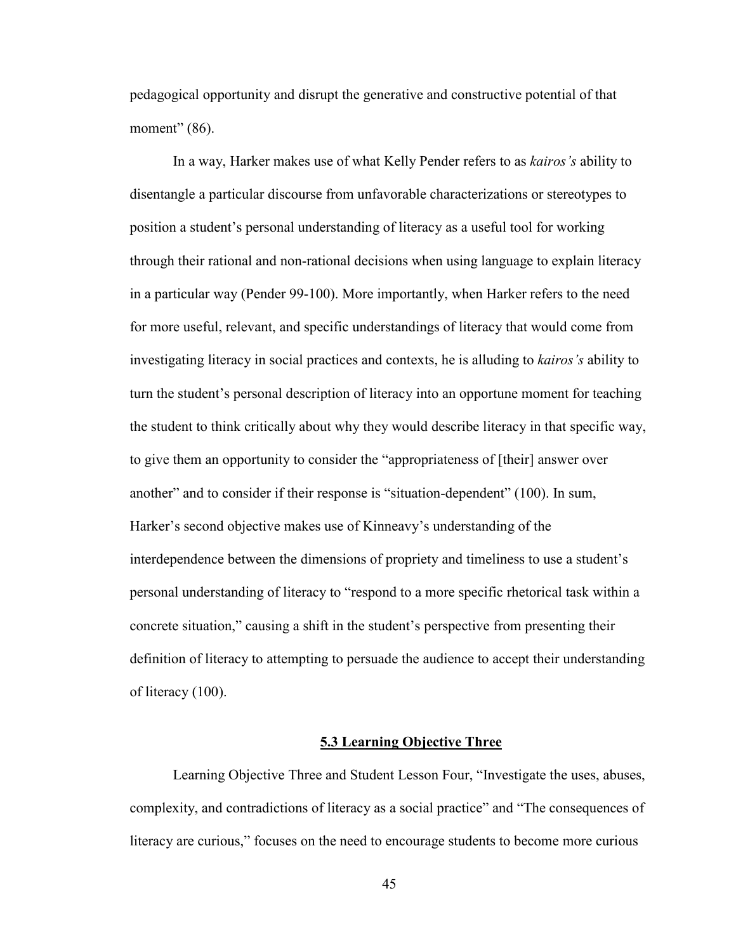pedagogical opportunity and disrupt the generative and constructive potential of that moment" (86).

In a way, Harker makes use of what Kelly Pender refers to as *kairos's* ability to disentangle a particular discourse from unfavorable characterizations or stereotypes to position a student's personal understanding of literacy as a useful tool for working through their rational and non-rational decisions when using language to explain literacy in a particular way (Pender 99-100). More importantly, when Harker refers to the need for more useful, relevant, and specific understandings of literacy that would come from investigating literacy in social practices and contexts, he is alluding to *kairos's* ability to turn the student's personal description of literacy into an opportune moment for teaching the student to think critically about why they would describe literacy in that specific way, to give them an opportunity to consider the "appropriateness of [their] answer over another" and to consider if their response is "situation-dependent" (100). In sum, Harker's second objective makes use of Kinneavy's understanding of the interdependence between the dimensions of propriety and timeliness to use a student's personal understanding of literacy to "respond to a more specific rhetorical task within a concrete situation," causing a shift in the student's perspective from presenting their definition of literacy to attempting to persuade the audience to accept their understanding of literacy (100).

#### **5.3 Learning Objective Three**

Learning Objective Three and Student Lesson Four, "Investigate the uses, abuses, complexity, and contradictions of literacy as a social practice" and "The consequences of literacy are curious," focuses on the need to encourage students to become more curious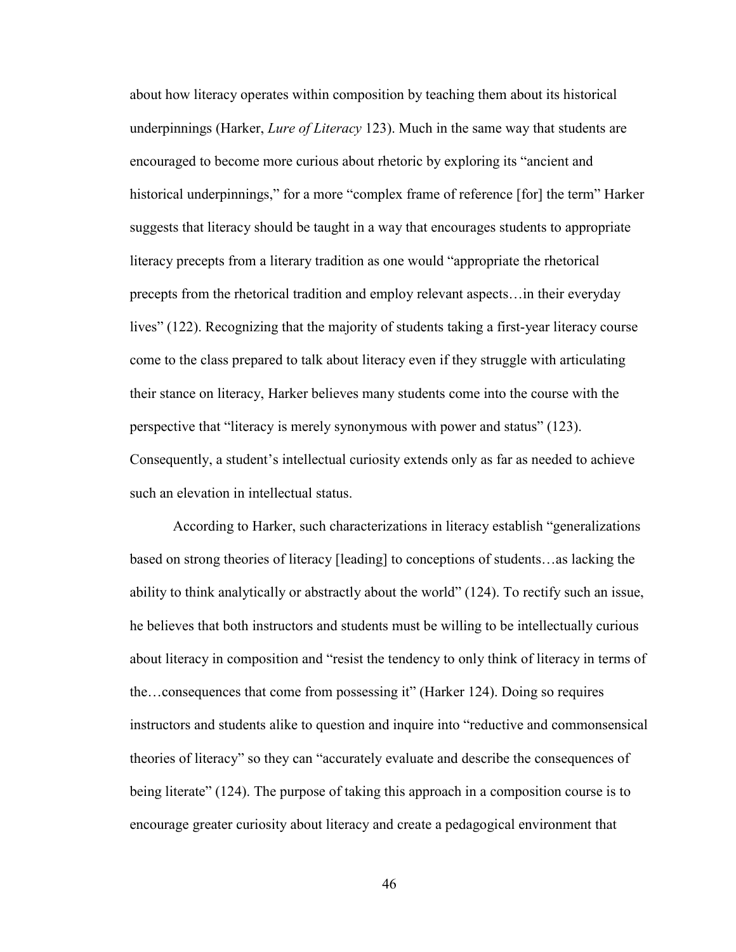about how literacy operates within composition by teaching them about its historical underpinnings (Harker, *Lure of Literacy* 123). Much in the same way that students are encouraged to become more curious about rhetoric by exploring its "ancient and historical underpinnings," for a more "complex frame of reference [for] the term" Harker suggests that literacy should be taught in a way that encourages students to appropriate literacy precepts from a literary tradition as one would "appropriate the rhetorical precepts from the rhetorical tradition and employ relevant aspects…in their everyday lives" (122). Recognizing that the majority of students taking a first-year literacy course come to the class prepared to talk about literacy even if they struggle with articulating their stance on literacy, Harker believes many students come into the course with the perspective that "literacy is merely synonymous with power and status" (123). Consequently, a student's intellectual curiosity extends only as far as needed to achieve such an elevation in intellectual status.

According to Harker, such characterizations in literacy establish "generalizations based on strong theories of literacy [leading] to conceptions of students…as lacking the ability to think analytically or abstractly about the world" (124). To rectify such an issue, he believes that both instructors and students must be willing to be intellectually curious about literacy in composition and "resist the tendency to only think of literacy in terms of the…consequences that come from possessing it" (Harker 124). Doing so requires instructors and students alike to question and inquire into "reductive and commonsensical theories of literacy" so they can "accurately evaluate and describe the consequences of being literate" (124). The purpose of taking this approach in a composition course is to encourage greater curiosity about literacy and create a pedagogical environment that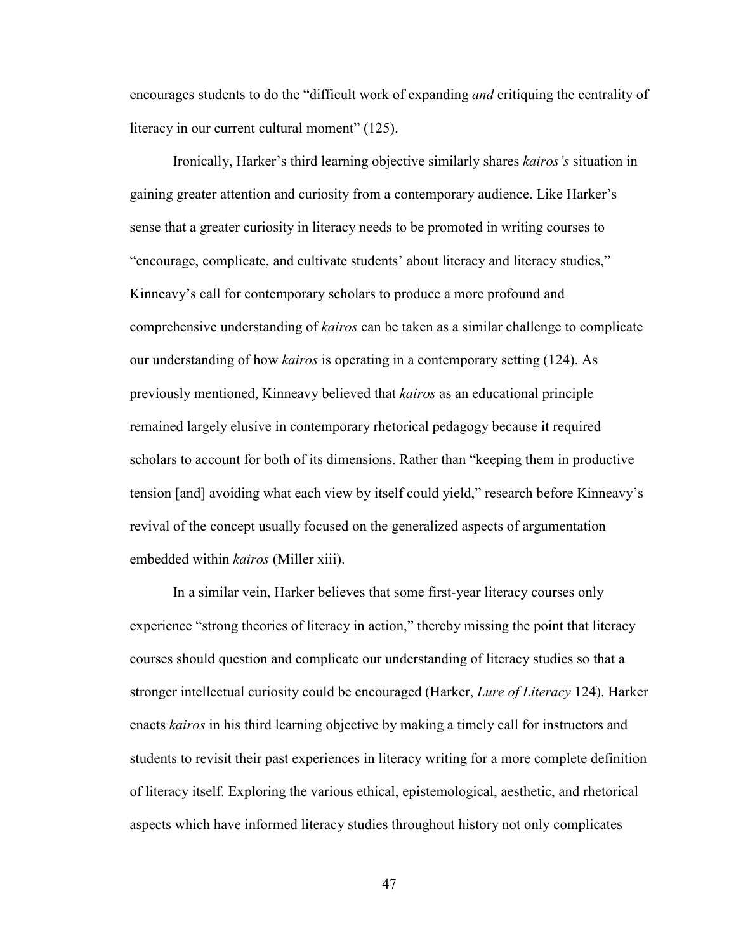encourages students to do the "difficult work of expanding *and* critiquing the centrality of literacy in our current cultural moment" (125).

Ironically, Harker's third learning objective similarly shares *kairos's* situation in gaining greater attention and curiosity from a contemporary audience. Like Harker's sense that a greater curiosity in literacy needs to be promoted in writing courses to "encourage, complicate, and cultivate students' about literacy and literacy studies," Kinneavy's call for contemporary scholars to produce a more profound and comprehensive understanding of *kairos* can be taken as a similar challenge to complicate our understanding of how *kairos* is operating in a contemporary setting (124). As previously mentioned, Kinneavy believed that *kairos* as an educational principle remained largely elusive in contemporary rhetorical pedagogy because it required scholars to account for both of its dimensions. Rather than "keeping them in productive tension [and] avoiding what each view by itself could yield," research before Kinneavy's revival of the concept usually focused on the generalized aspects of argumentation embedded within *kairos* (Miller xiii).

In a similar vein, Harker believes that some first-year literacy courses only experience "strong theories of literacy in action," thereby missing the point that literacy courses should question and complicate our understanding of literacy studies so that a stronger intellectual curiosity could be encouraged (Harker, *Lure of Literacy* 124). Harker enacts *kairos* in his third learning objective by making a timely call for instructors and students to revisit their past experiences in literacy writing for a more complete definition of literacy itself. Exploring the various ethical, epistemological, aesthetic, and rhetorical aspects which have informed literacy studies throughout history not only complicates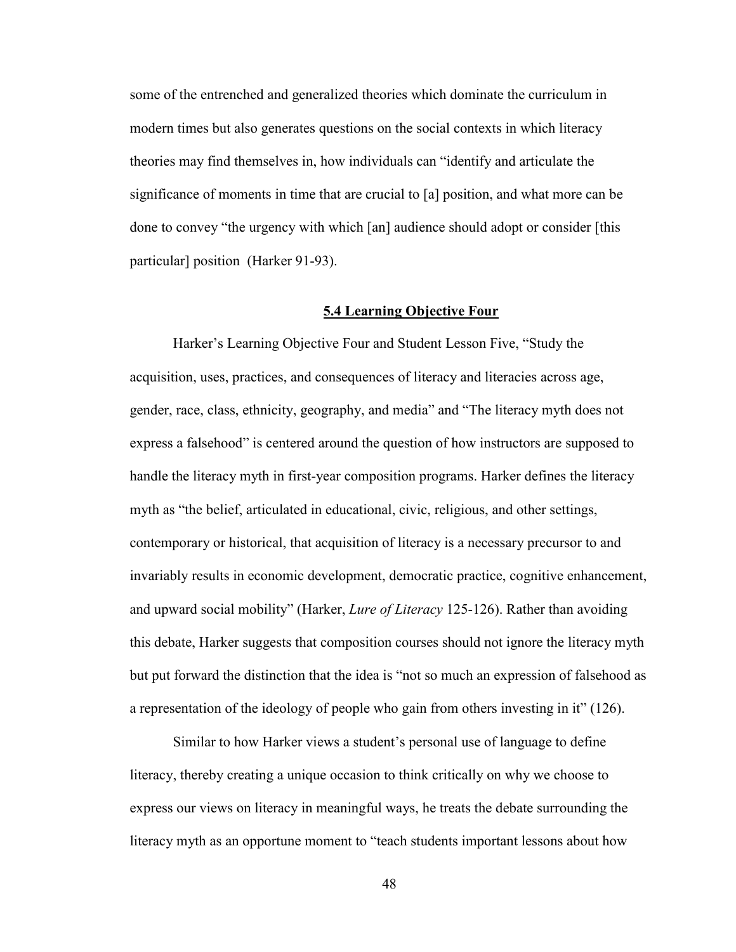some of the entrenched and generalized theories which dominate the curriculum in modern times but also generates questions on the social contexts in which literacy theories may find themselves in, how individuals can "identify and articulate the significance of moments in time that are crucial to [a] position, and what more can be done to convey "the urgency with which [an] audience should adopt or consider [this particular] position (Harker 91-93).

#### **5.4 Learning Objective Four**

Harker's Learning Objective Four and Student Lesson Five, "Study the acquisition, uses, practices, and consequences of literacy and literacies across age, gender, race, class, ethnicity, geography, and media" and "The literacy myth does not express a falsehood" is centered around the question of how instructors are supposed to handle the literacy myth in first-year composition programs. Harker defines the literacy myth as "the belief, articulated in educational, civic, religious, and other settings, contemporary or historical, that acquisition of literacy is a necessary precursor to and invariably results in economic development, democratic practice, cognitive enhancement, and upward social mobility" (Harker, *Lure of Literacy* 125-126). Rather than avoiding this debate, Harker suggests that composition courses should not ignore the literacy myth but put forward the distinction that the idea is "not so much an expression of falsehood as a representation of the ideology of people who gain from others investing in it" (126).

Similar to how Harker views a student's personal use of language to define literacy, thereby creating a unique occasion to think critically on why we choose to express our views on literacy in meaningful ways, he treats the debate surrounding the literacy myth as an opportune moment to "teach students important lessons about how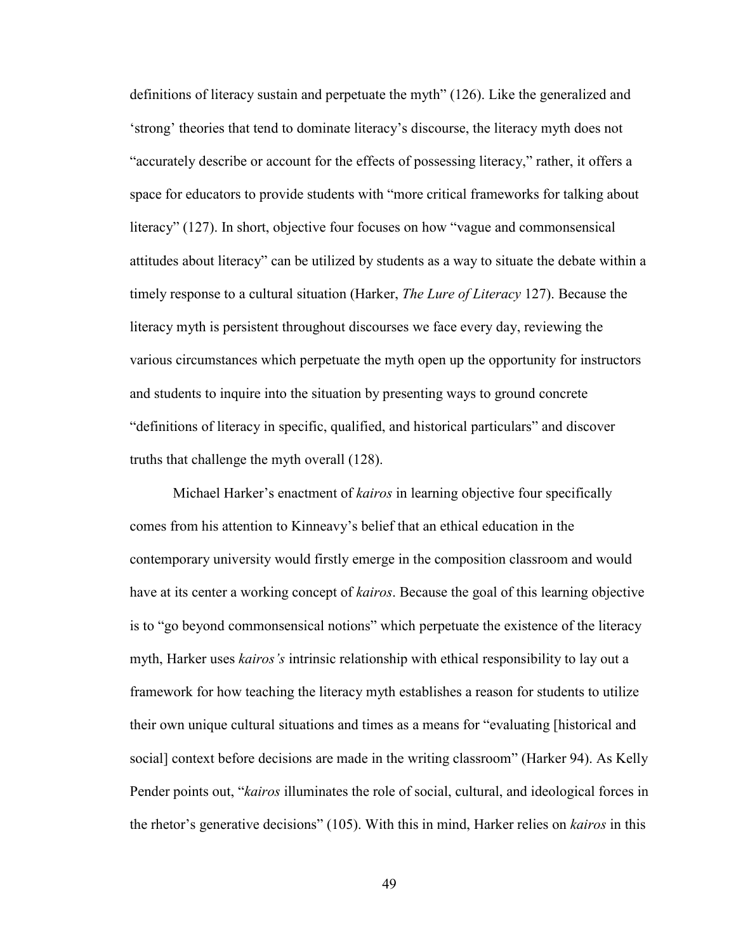definitions of literacy sustain and perpetuate the myth" (126). Like the generalized and 'strong' theories that tend to dominate literacy's discourse, the literacy myth does not "accurately describe or account for the effects of possessing literacy," rather, it offers a space for educators to provide students with "more critical frameworks for talking about literacy" (127). In short, objective four focuses on how "vague and commonsensical attitudes about literacy" can be utilized by students as a way to situate the debate within a timely response to a cultural situation (Harker, *The Lure of Literacy* 127). Because the literacy myth is persistent throughout discourses we face every day, reviewing the various circumstances which perpetuate the myth open up the opportunity for instructors and students to inquire into the situation by presenting ways to ground concrete "definitions of literacy in specific, qualified, and historical particulars" and discover truths that challenge the myth overall (128).

Michael Harker's enactment of *kairos* in learning objective four specifically comes from his attention to Kinneavy's belief that an ethical education in the contemporary university would firstly emerge in the composition classroom and would have at its center a working concept of *kairos*. Because the goal of this learning objective is to "go beyond commonsensical notions" which perpetuate the existence of the literacy myth, Harker uses *kairos's* intrinsic relationship with ethical responsibility to lay out a framework for how teaching the literacy myth establishes a reason for students to utilize their own unique cultural situations and times as a means for "evaluating [historical and social] context before decisions are made in the writing classroom" (Harker 94). As Kelly Pender points out, "*kairos* illuminates the role of social, cultural, and ideological forces in the rhetor's generative decisions" (105). With this in mind, Harker relies on *kairos* in this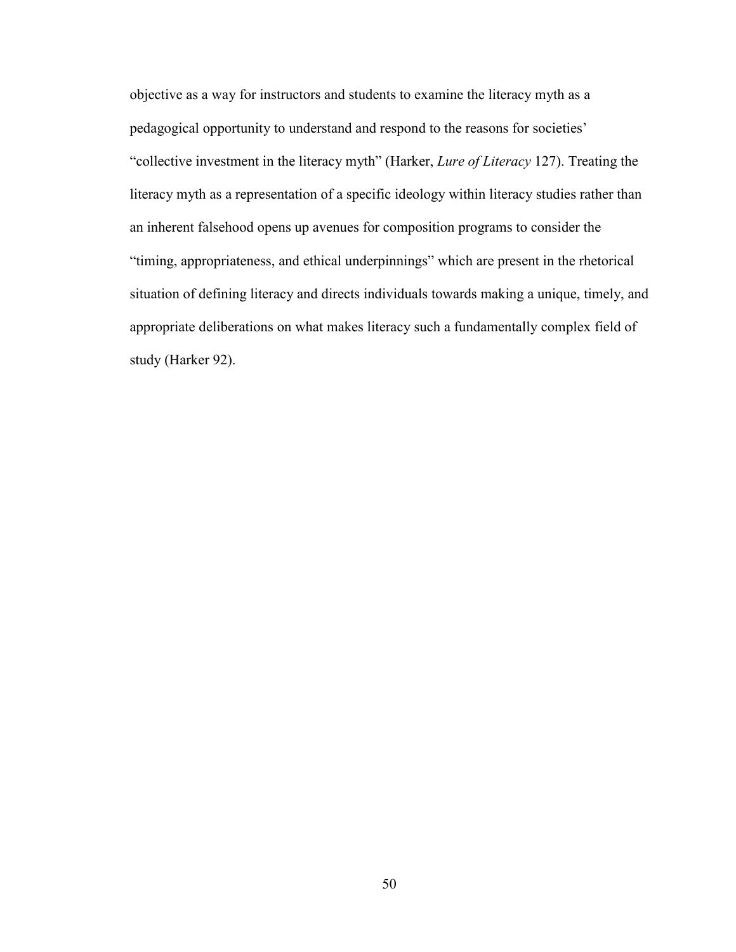objective as a way for instructors and students to examine the literacy myth as a pedagogical opportunity to understand and respond to the reasons for societies' "collective investment in the literacy myth" (Harker, *Lure of Literacy* 127). Treating the literacy myth as a representation of a specific ideology within literacy studies rather than an inherent falsehood opens up avenues for composition programs to consider the "timing, appropriateness, and ethical underpinnings" which are present in the rhetorical situation of defining literacy and directs individuals towards making a unique, timely, and appropriate deliberations on what makes literacy such a fundamentally complex field of study (Harker 92).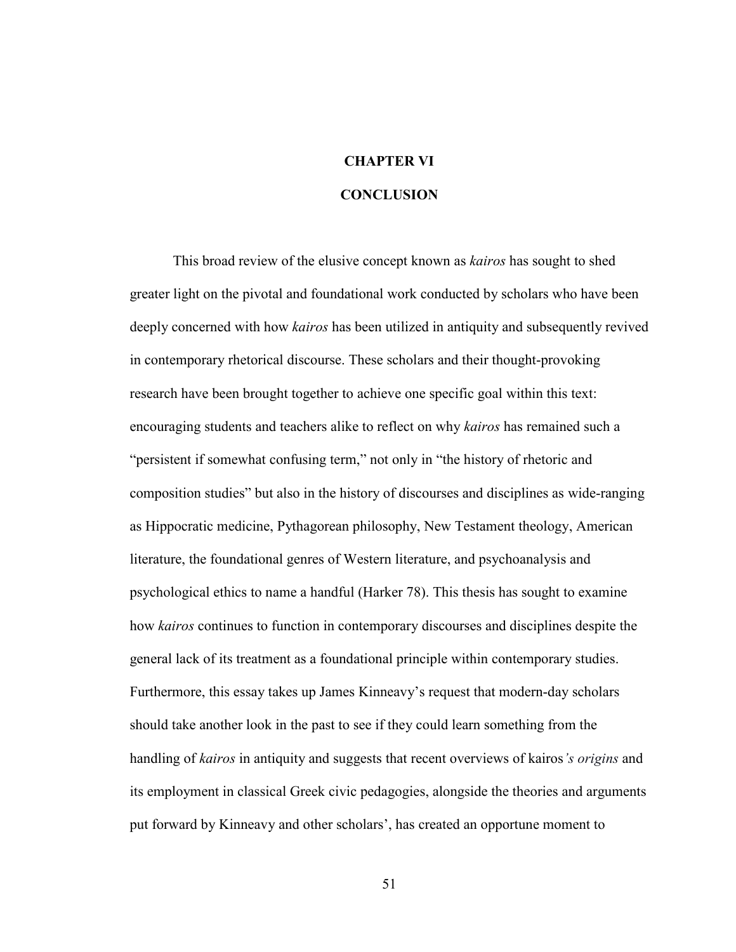# **CHAPTER VI**

## **CONCLUSION**

This broad review of the elusive concept known as *kairos* has sought to shed greater light on the pivotal and foundational work conducted by scholars who have been deeply concerned with how *kairos* has been utilized in antiquity and subsequently revived in contemporary rhetorical discourse. These scholars and their thought-provoking research have been brought together to achieve one specific goal within this text: encouraging students and teachers alike to reflect on why *kairos* has remained such a "persistent if somewhat confusing term," not only in "the history of rhetoric and composition studies" but also in the history of discourses and disciplines as wide-ranging as Hippocratic medicine, Pythagorean philosophy, New Testament theology, American literature, the foundational genres of Western literature, and psychoanalysis and psychological ethics to name a handful (Harker 78). This thesis has sought to examine how *kairos* continues to function in contemporary discourses and disciplines despite the general lack of its treatment as a foundational principle within contemporary studies. Furthermore, this essay takes up James Kinneavy's request that modern-day scholars should take another look in the past to see if they could learn something from the handling of *kairos* in antiquity and suggests that recent overviews of kairos*'s origins* and its employment in classical Greek civic pedagogies, alongside the theories and arguments put forward by Kinneavy and other scholars', has created an opportune moment to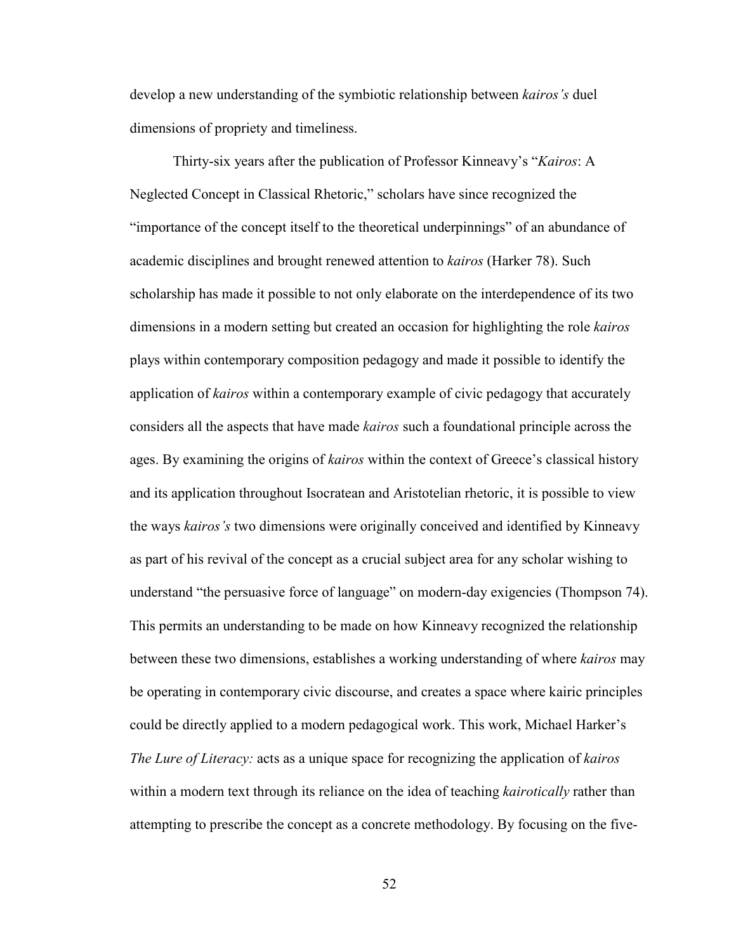develop a new understanding of the symbiotic relationship between *kairos's* duel dimensions of propriety and timeliness.

Thirty-six years after the publication of Professor Kinneavy's "*Kairos*: A Neglected Concept in Classical Rhetoric," scholars have since recognized the "importance of the concept itself to the theoretical underpinnings" of an abundance of academic disciplines and brought renewed attention to *kairos* (Harker 78). Such scholarship has made it possible to not only elaborate on the interdependence of its two dimensions in a modern setting but created an occasion for highlighting the role *kairos* plays within contemporary composition pedagogy and made it possible to identify the application of *kairos* within a contemporary example of civic pedagogy that accurately considers all the aspects that have made *kairos* such a foundational principle across the ages. By examining the origins of *kairos* within the context of Greece's classical history and its application throughout Isocratean and Aristotelian rhetoric, it is possible to view the ways *kairos's* two dimensions were originally conceived and identified by Kinneavy as part of his revival of the concept as a crucial subject area for any scholar wishing to understand "the persuasive force of language" on modern-day exigencies (Thompson 74). This permits an understanding to be made on how Kinneavy recognized the relationship between these two dimensions, establishes a working understanding of where *kairos* may be operating in contemporary civic discourse, and creates a space where kairic principles could be directly applied to a modern pedagogical work. This work, Michael Harker's *The Lure of Literacy:* acts as a unique space for recognizing the application of *kairos* within a modern text through its reliance on the idea of teaching *kairotically* rather than attempting to prescribe the concept as a concrete methodology. By focusing on the five-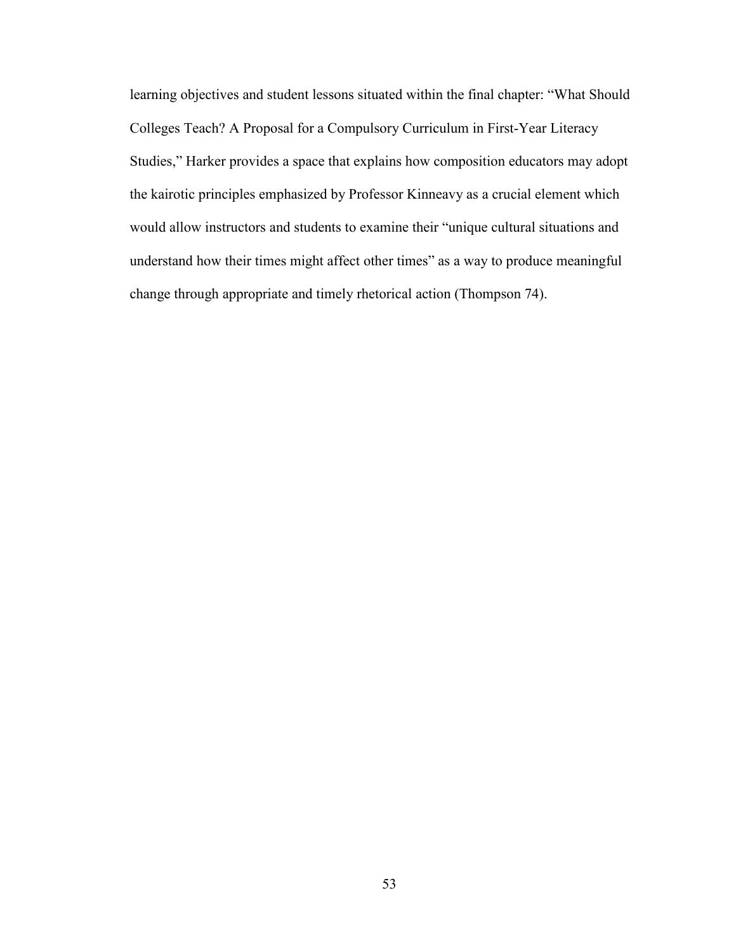learning objectives and student lessons situated within the final chapter: "What Should Colleges Teach? A Proposal for a Compulsory Curriculum in First-Year Literacy Studies," Harker provides a space that explains how composition educators may adopt the kairotic principles emphasized by Professor Kinneavy as a crucial element which would allow instructors and students to examine their "unique cultural situations and understand how their times might affect other times" as a way to produce meaningful change through appropriate and timely rhetorical action (Thompson 74).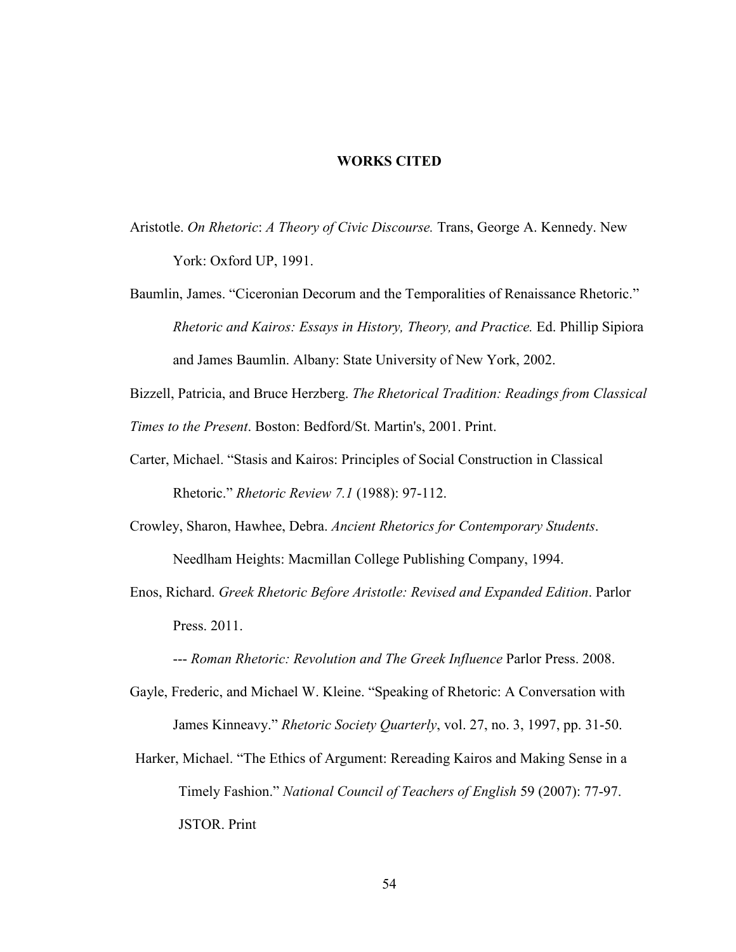#### **WORKS CITED**

- Aristotle. *On Rhetoric*: *A Theory of Civic Discourse.* Trans, George A. Kennedy. New York: Oxford UP, 1991.
- Baumlin, James. "Ciceronian Decorum and the Temporalities of Renaissance Rhetoric." *Rhetoric and Kairos: Essays in History, Theory, and Practice.* Ed. Phillip Sipiora and James Baumlin. Albany: State University of New York, 2002.
- Bizzell, Patricia, and Bruce Herzberg. *The Rhetorical Tradition: Readings from Classical Times to the Present*. Boston: Bedford/St. Martin's, 2001. Print.
- Carter, Michael. "Stasis and Kairos: Principles of Social Construction in Classical Rhetoric." *Rhetoric Review 7.1* (1988): 97-112.
- Crowley, Sharon, Hawhee, Debra. *Ancient Rhetorics for Contemporary Students*. Needlham Heights: Macmillan College Publishing Company, 1994.
- Enos, Richard. *Greek Rhetoric Before Aristotle: Revised and Expanded Edition*. Parlor Press. 2011.

--- *Roman Rhetoric: Revolution and The Greek Influence* Parlor Press. 2008.

- Gayle, Frederic, and Michael W. Kleine. "Speaking of Rhetoric: A Conversation with James Kinneavy." *Rhetoric Society Quarterly*, vol. 27, no. 3, 1997, pp. 31-50.
- Harker, Michael. "The Ethics of Argument: Rereading Kairos and Making Sense in a Timely Fashion." *National Council of Teachers of English* 59 (2007): 77-97. JSTOR. Print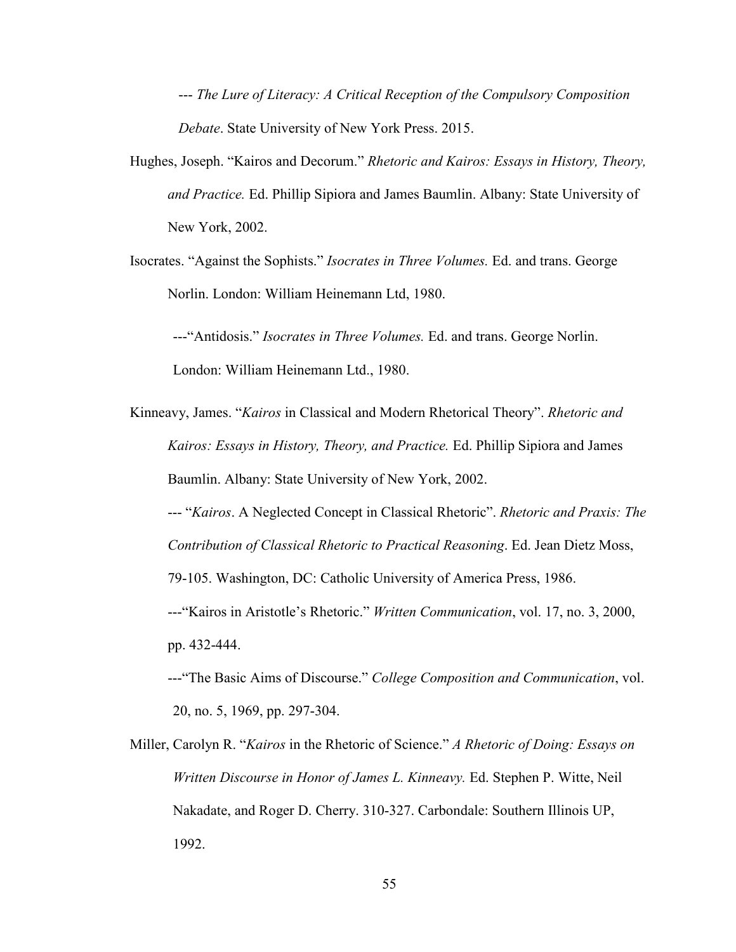--- *The Lure of Literacy: A Critical Reception of the Compulsory Composition Debate*. State University of New York Press. 2015.

- Hughes, Joseph. "Kairos and Decorum." *Rhetoric and Kairos: Essays in History, Theory, and Practice.* Ed. Phillip Sipiora and James Baumlin. Albany: State University of New York, 2002.
- Isocrates. "Against the Sophists." *Isocrates in Three Volumes.* Ed. and trans. George Norlin. London: William Heinemann Ltd, 1980.

---"Antidosis." *Isocrates in Three Volumes.* Ed. and trans. George Norlin. London: William Heinemann Ltd., 1980.

Kinneavy, James. "*Kairos* in Classical and Modern Rhetorical Theory". *Rhetoric and Kairos: Essays in History, Theory, and Practice.* Ed. Phillip Sipiora and James Baumlin. Albany: State University of New York, 2002.

 --- "*Kairos*. A Neglected Concept in Classical Rhetoric". *Rhetoric and Praxis: The Contribution of Classical Rhetoric to Practical Reasoning*. Ed. Jean Dietz Moss,

79-105. Washington, DC: Catholic University of America Press, 1986.

---"Kairos in Aristotle's Rhetoric." *Written Communication*, vol. 17, no. 3, 2000, pp. 432-444.

---"The Basic Aims of Discourse." *College Composition and Communication*, vol. 20, no. 5, 1969, pp. 297-304.

Miller, Carolyn R. "*Kairos* in the Rhetoric of Science." *A Rhetoric of Doing: Essays on Written Discourse in Honor of James L. Kinneavy.* Ed. Stephen P. Witte, Neil Nakadate, and Roger D. Cherry. 310-327. Carbondale: Southern Illinois UP, 1992.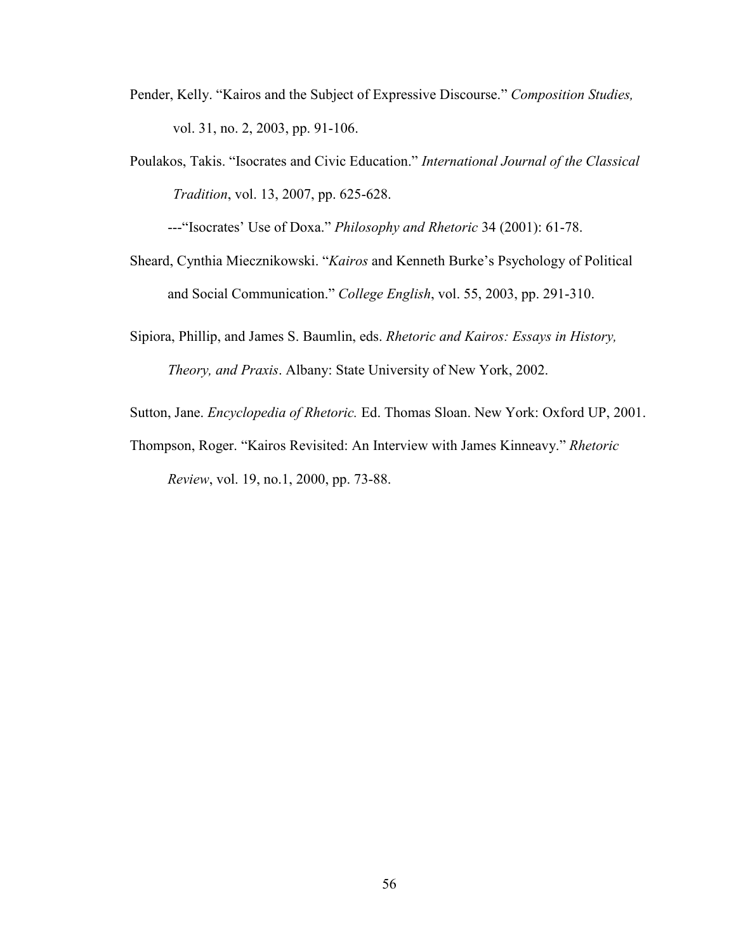- Pender, Kelly. "Kairos and the Subject of Expressive Discourse." *Composition Studies,*  vol. 31, no. 2, 2003, pp. 91-106.
- Poulakos, Takis. "Isocrates and Civic Education." *International Journal of the Classical Tradition*, vol. 13, 2007, pp. 625-628.

---"Isocrates' Use of Doxa." *Philosophy and Rhetoric* 34 (2001): 61-78.

- Sheard, Cynthia Miecznikowski. "*Kairos* and Kenneth Burke's Psychology of Political and Social Communication." *College English*, vol. 55, 2003, pp. 291-310.
- Sipiora, Phillip, and James S. Baumlin, eds. *Rhetoric and Kairos: Essays in History, Theory, and Praxis*. Albany: State University of New York, 2002.

Sutton, Jane. *Encyclopedia of Rhetoric.* Ed. Thomas Sloan. New York: Oxford UP, 2001.

Thompson, Roger. "Kairos Revisited: An Interview with James Kinneavy." *Rhetoric Review*, vol. 19, no.1, 2000, pp. 73-88.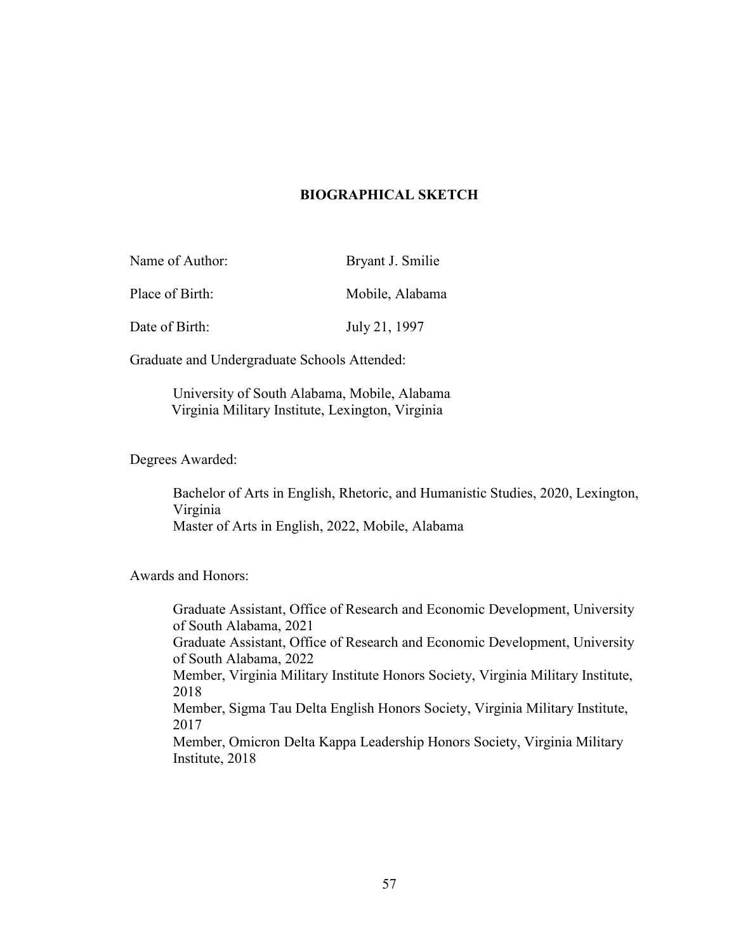#### **BIOGRAPHICAL SKETCH**

| Name of Author: | Bryant J. Smilie |
|-----------------|------------------|
| Place of Birth: | Mobile, Alabama  |
| Date of Birth:  | July 21, 1997    |

Graduate and Undergraduate Schools Attended:

University of South Alabama, Mobile, Alabama Virginia Military Institute, Lexington, Virginia

Degrees Awarded:

Bachelor of Arts in English, Rhetoric, and Humanistic Studies, 2020, Lexington, Virginia Master of Arts in English, 2022, Mobile, Alabama

Awards and Honors:

Graduate Assistant, Office of Research and Economic Development, University of South Alabama, 2021 Graduate Assistant, Office of Research and Economic Development, University of South Alabama, 2022 Member, Virginia Military Institute Honors Society, Virginia Military Institute, 2018 Member, Sigma Tau Delta English Honors Society, Virginia Military Institute, 2017 Member, Omicron Delta Kappa Leadership Honors Society, Virginia Military Institute, 2018